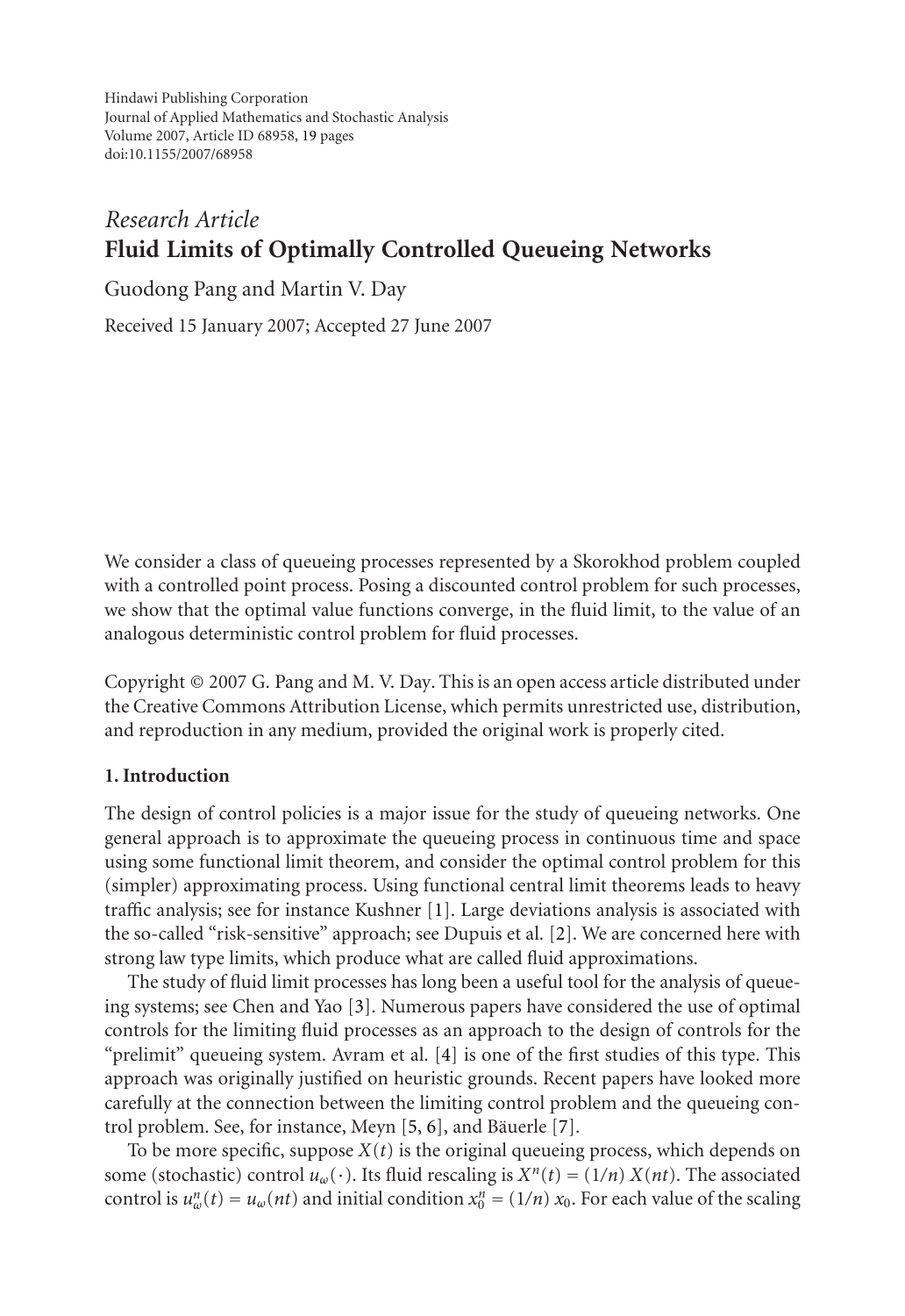Hindawi Publishing Corporation Journal of Applied Mathematics and Stochastic Analysis Volume 2007, Article ID 68958, 19 pages doi:10.1155/2007/68958

# *Research Article* **Fluid Limits of Optimally Controlled Queueing Networks**

Guodong Pang and Martin V. Day

Received 15 January 2007; Accepted 27 June 2007

We consider a class of queueing processes represented by a Skorokhod problem coupled with a controlled point process. Posing a discounted control problem for such processes, we show that the optimal value functions converge, in the fluid limit, to the value of an analogous deterministic control problem for fluid processes.

Copyright © 2007 G. Pang and M. V. Day[. T](#page-17-0)his is an open access article distributed under the Creative Commons Attribution License, which permi[ts](#page-17-1) unrestricted use, distribution, and reproduction in any medium, provided the original work is properly cited.

# **1. Introduction**

The design of control policies is a major issue for the study of queueing networks. One general approach is to approximate the q[ue](#page-18-0)ueing process in continuous time and space using some functional limit theorem, and consider the optimal control problem for this (simpler) approximating process. Using functional central limit theorems leads to heavy traffic analysis; see for instance Kushn[er](#page-18-1) [\[1](#page-18-2)]. Large devia[tio](#page-18-3)ns analysis is associated with the so-called "risk-sensitive" approach; see Dupuis et al. [2]. We are concerned here with strong law type limits, which produce what are called fluid approximations.

The study of fluid limit processes has long been a useful tool for the analysis of queueing systems; see Chen and Yao [3]. Numerous papers have considered the use of optimal controls for the limiting fluid processes as an approach to the design of controls for the "prelimit" queueing system. Avram et al. [4] is one of the first studies of this type. This approach was originally justified on heuristic grounds. Recent papers have looked more carefully at the connection between the limiting control problem and the queueing control problem. See, for instance, Meyn [5, 6], and Bäuerle [7].

To be more specific, suppose  $X(t)$  is the original queueing process, which depends on some (stochastic) control  $u_\omega(\cdot)$ . Its fluid rescaling is  $X^n(t) = (1/n) X(nt)$ . The associated control is  $u_w^n(t) = u_w(nt)$  and initial condition  $x_0^n = (1/n) x_0$ . For each value of the scaling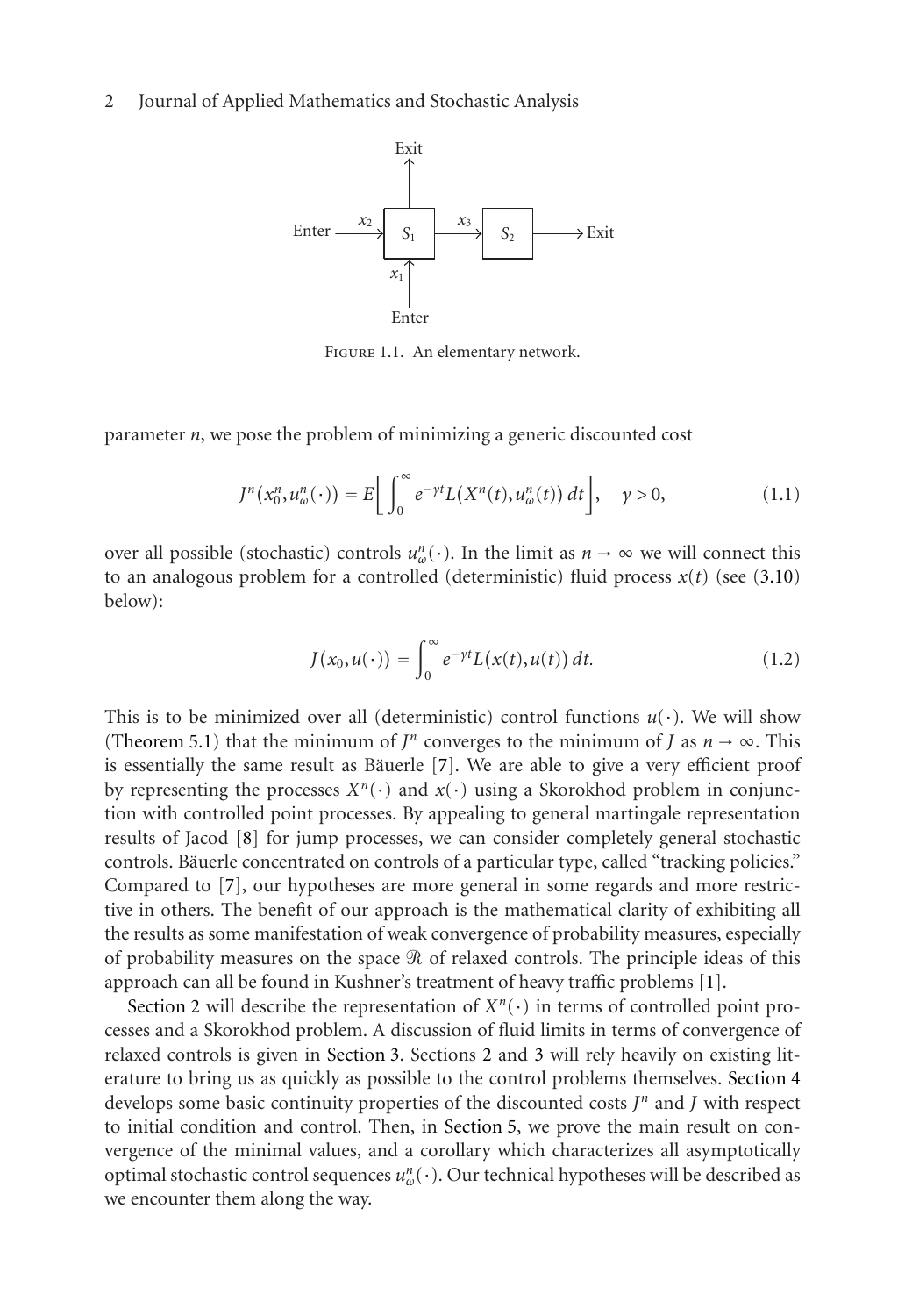

Figure 1.1. An elementary network.

parameter *n*, we pose the problem of minimizing a generic discounted cost

$$
J^n(x_0^n, u_\omega^n(\cdot)) = E\bigg[\int_0^\infty e^{-\gamma t} L(X^n(t), u_\omega^n(t)) dt\bigg], \quad \gamma > 0,
$$
\n(1.1)

over all possible (stochastic) controls  $u_{\omega}^n(\cdot)$ . In the limit as  $n \to \infty$  we will connect this to an analogous problem for a controlled (deterministic) fluid process *x*(*t*) (see (3.10) below):

$$
J(x_0, u(\cdot)) = \int_0^\infty e^{-\gamma t} L(x(t), u(t)) dt.
$$
 (1.2)

This is to be minimized over all (deterministic) control functions  $u(\cdot)$ . We will show (Theorem 5.1) that the minimum of *J<sup>n</sup>* converges to the minimum of *J* as  $n \to \infty$ . This is essentially the same result as Bäuerle  $[7]$ . We are able to give a very e[ffi](#page-17-0)cient proof by [represent](#page-2-0)ing the processes  $X^n(\cdot)$  and  $x(\cdot)$  using a Skorokhod problem in conjunction with controlled point processes. By appealing to general martingale representation results of Jacod [8] for ju[mp process](#page-9-0)es, we ca[n c](#page-2-0)ons[ide](#page-9-0)r completely general stochastic controls. Bauerle concentrated on controls of a particular type, called "tracking [policies."](#page-13-0) ¨ Compared to [7], our hypotheses are more general in some regards and more restrictive in others. The benefit of our approac[h is the m](#page-16-0)athematical clarity of exhibiting all the results as some manifestation of weak convergence of probability measures, especially of probability measures on the space  $\mathscr R$  of relaxed controls. The principle ideas of this approach can all be found in Kushner's treatment of heavy traffic problems [1].

Section 2 will describe the representation of  $X^n(\cdot)$  in terms of controlled point processes and a Skorokhod problem. A discussion of fluid limits in terms of convergence of relaxed controls is given in Section 3. Sections 2 and 3 will rely heavily on existing literature to bring us as quickly as possible to the control problems themselves. Section 4 develops some basic continuity properties of the discounted costs *J<sup>n</sup>* and *J* with respect to initial condition and control. Then, in Section 5, we prove the main result on convergence of the minimal values, and a corollary which characterizes all asymptotically optimal stochastic control sequences *un <sup>ω</sup>*(·). Our technical hypotheses will be described as we encounter them along the way.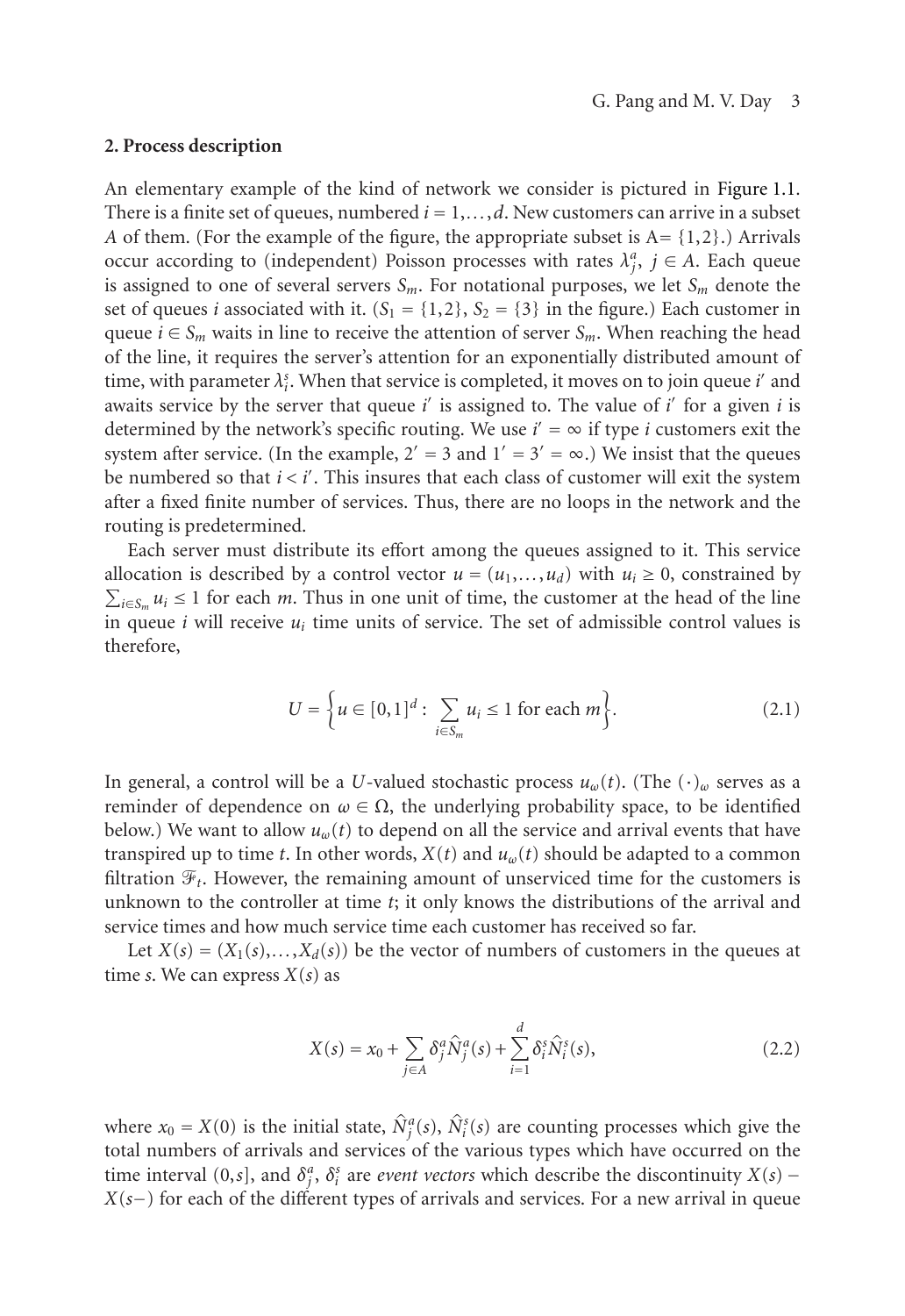## <span id="page-2-0"></span>**2. Process description**

An elementary example of the kind of network we consider is pictured in Figure 1.1. There is a finite set of queues, numbered  $i = 1, \ldots, d$ . New customers can arrive in a subset *A* of them. (For the example of the figure, the appropriate subset is  $A = \{1,2\}$ .) Arrivals occur according to (independent) Poisson processes with rates  $\lambda_i^a$ ,  $j \in A$ . Each queue is assigned to one of several servers  $S_m$ . For notational purposes, we let  $S_m$  denote the set of queues *i* associated with it.  $(S_1 = \{1,2\}, S_2 = \{3\}$  in the figure.) Each customer in queue  $i \in S_m$  waits in line to receive the attention of server  $S_m$ . When reaching the head of the line, it requires the server's attention for an exponentially distributed amount of time, with parameter  $\lambda_i^s$ . When that service is completed, it moves on to join queue *i*' and awaits service by the server that queue *i*' is assigned to. The value of *i*' for a given *i* is determined by the network's specific routing. We use  $i' = \infty$  if type *i* customers exit the system after service. (In the example,  $2' = 3$  and  $1' = 3' = \infty$ .) We insist that the queues be numbered so that  $i < i'$ . This insures that each class of customer will exit the system after a fixed finite number of services. Thus, there are no loops in the network and the routing is predetermined.

Each server must distribute its effort among the queues assigned to it. This service allocation is described by a control vector  $u = (u_1, \ldots, u_d)$  with  $u_i \ge 0$ , constrained by  $\sum_{i \in S_m} u_i \le 1$  for each *m*. Thus in one unit of time, the customer at the head of the line in queue  $i$  will receive  $u_i$  time units of service. The set of admissible control values is therefore,

$$
U = \left\{ u \in [0,1]^d : \sum_{i \in S_m} u_i \le 1 \text{ for each } m \right\}.
$$
 (2.1)

In general, a control will be a *U*-valued stochastic process  $u_\omega(t)$ . (The  $(\cdot)_{\omega}$  serves as a reminder of dependence on  $\omega \in \Omega$ , the underlying probability space, to be identified below.) We want to allow  $u_{\omega}(t)$  to depend on all the service and arrival events that have transpired up to time *t*. In other words,  $X(t)$  and  $u_{\omega}(t)$  should be adapted to a common filtration  $\mathcal{F}_t$ . However, the remaining amount of unserviced time for the customers is unknown to the controller at time *t*; it only knows the distributions of the arrival and service times and how much service time each customer has received so far.

Let  $X(s) = (X_1(s),...,X_d(s))$  be the vector of numbers of customers in the queues at time *s*. We can express *X*(*s*) as

$$
X(s) = x_0 + \sum_{j \in A} \delta_j^a \hat{N}_j^a(s) + \sum_{i=1}^d \delta_i^s \hat{N}_i^s(s),
$$
\n(2.2)

where  $x_0 = X(0)$  is the initial state,  $\hat{N}_j^a(s)$ ,  $\hat{N}_i^s(s)$  are counting processes which give the total numbers of arrivals and services of the various types which have occurred on the time interval (0,*s*], and  $\delta_i^a$ ,  $\delta_i^s$  are *event vectors* which describe the discontinuity *X*(*s*) − *X*(*s*−) for each of the different types of arrivals and services. For a new arrival in queue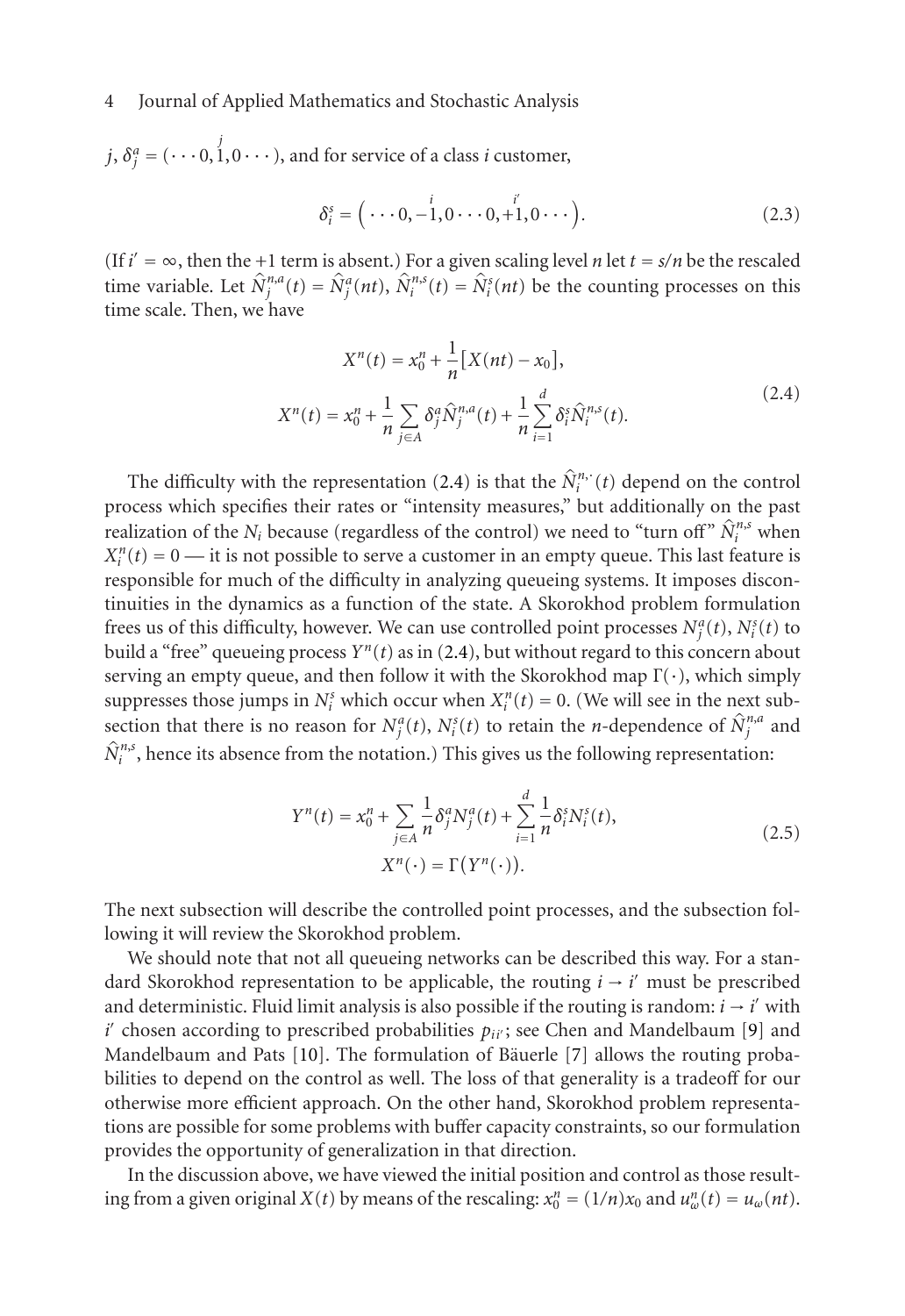$j, \delta_i^a = (\cdots 0,$ *j* 1,0··· ), and for service of a class *i* customer,

<span id="page-3-0"></span>
$$
\delta_i^s = (\cdots 0, -1, 0 \cdots 0, +1, 0 \cdots).
$$
 (2.3)

(If  $i' = \infty$ , then the +1 term is absent.) For [a giv](#page-3-0)en scaling level *n* let  $t = s/n$  be the rescaled time variable. Let  $\hat{N}_j^{n,a}(t) = \hat{N}_j^a(nt)$ ,  $\hat{N}_i^{n,s}(t) = \hat{N}_i^s(nt)$  be the counting processes on this time scale. Then, we have

$$
X^{n}(t) = x_{0}^{n} + \frac{1}{n} [X(nt) - x_{0}],
$$
  

$$
X^{n}(t) = x_{0}^{n} + \frac{1}{n} \sum_{j \in A} \delta_{j}^{a} \hat{N}_{j}^{n,a}(t) + \frac{1}{n} \sum_{i=1}^{d} \delta_{i}^{s} \hat{N}_{i}^{n,s}(t).
$$
 (2.4)

The difficulty with the representation (2.4) is that the  $\hat{N}_i^n$ , (*t*) depend on the control process which specifies their rates or "intensity measures," but additionally on the past realization of the *N<sub>i</sub>* because (regardless of the control) we need to "turn off"  $\hat{N}_i^{n,s}$  when  $X_i^n(t) = 0$  — it is not possible to serve a customer in an empty queue. This last feature is responsible for much of the difficulty in analyzing queueing systems. It imposes discontinuities in the dynamics as a function of the state. A Skorokhod problem formulation frees us of this difficulty, however. We can use controlled point processes  $N_i^a(t)$ ,  $N_i^s(t)$  to build a "free" queueing process  $Y^n(t)$  as in (2.4), but without regard to this concern about serving an empty queue, and then follow it with the Skorokhod map  $\Gamma(\cdot)$ , which simply suppresses those jumps in  $N_i^s$  which occur when  $X_i^n(t) = 0$ . (We will see in the next subsection that there is no reason for  $N_j^a(t)$ ,  $N_i^s(t)$  to retain the *n*-dependence of  $\hat{N}_j^{n,a}$  and  $\hat{N}_i^{n,s}$ , hence its absence from the notation.) This gives us the following representation:

<span id="page-3-1"></span>
$$
Y^n(t) = x_0^n + \sum_{j \in A} \frac{1}{n} \delta_j^a N_j^a(t) + \sum_{i=1}^d \frac{1}{n} \delta_i^s N_i^s(t),
$$
  

$$
X^n(\cdot) = \Gamma(Y^n(\cdot)).
$$
 (2.5)

The next subsection will describe the controlled point processes, and the subsection following it will review the Skorokhod problem.

We should note that not all queueing networks can be described this way. For a standard Skorokhod representation to be applicable, the routing  $i \rightarrow i'$  must be prescribed and deterministic. Fluid limit analysis is also possible if the routing is random:  $i \rightarrow i'$  with  $i'$  chosen according to prescribed probabilities  $p_{ii'}$ ; see Chen and Mandelbaum [9] and Mandelbaum and Pats [10]. The formulation of Bäuerle [7] allows the routing probabilities to depend on the control as well. The loss of that generality is a tradeoff for our otherwise more efficient approach. On the other hand, Skorokhod problem representations are possible for some problems with buffer capacity constraints, so our formulation provides the opportunity of generalization in that direction.

In the discussion above, we have viewed the initial position and control as those resulting from a given original *X*(*t*) by means of the rescaling:  $x_0^n = (1/n)x_0$  and  $u_w^n(t) = u_w(nt)$ .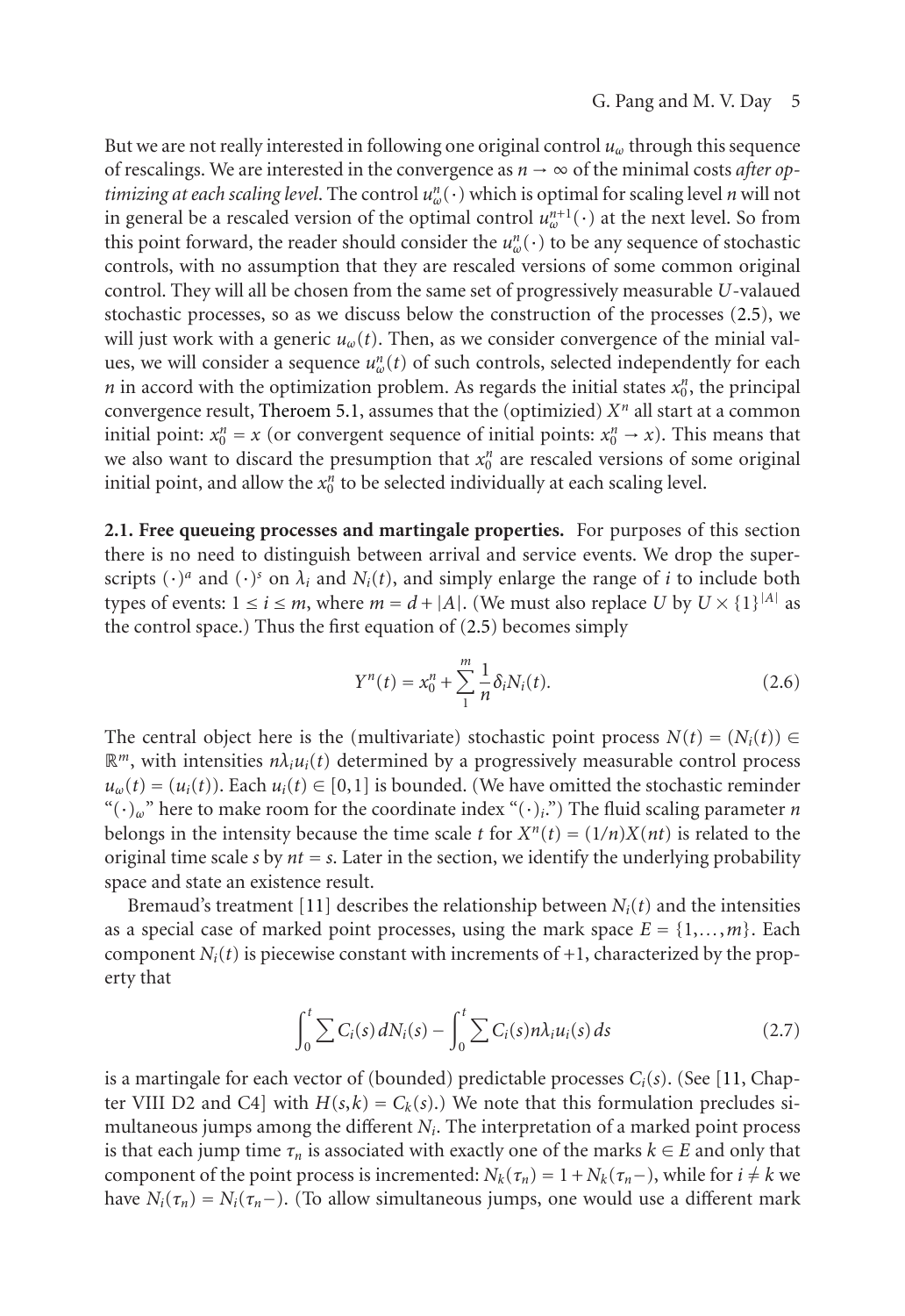#### <span id="page-4-0"></span>G. Pang and M. V[. Da](#page-3-1)y 5

But we are not really interested in following one original control *uω* through this sequence of rescalings. We are interested in the convergence as  $n \to \infty$  of the minimal costs *after optimizing at each scal[ing level](#page-16-1)*. The control *un <sup>ω</sup>*(·) which is optimal for scaling level *n* will not in general be a rescaled version of the optimal control  $u_w^{n+1}(\cdot)$  at the next level. So from this point forward, the reader should consider the  $u_w^n(\cdot)$  to be any sequence of stochastic controls, with no assumption that they are rescaled versions of some common original control. They will all be chosen from the same set of progressively measurable *U*-valaued stochastic processes, so as we discuss below the construction of the processes (2.5), we will just work with a generic *uω*(*t*). Then, as we consider convergence of the minial values, we will consider a sequence  $u_w^n(t)$  of such controls, selected independently for each *n* in accord with the optimization problem. As regards the initial states  $x_0^n$ , the principal convergence result, Theroem 5.1, assumes tha[t the](#page-3-1) (optimizied)  $X<sup>n</sup>$  all start at a common initial point:  $x_0^n = x$  (or convergent sequence of initial points:  $x_0^n \rightarrow x$ ). This means that we also want to discard the presumption that  $x_0^n$  are rescaled versions of some original initial point, and allow the  $x_0^n$  to be selected individually at each scaling level.

**2.1. Free queueing processes and martingale properties.** For purposes of this section there is no need to distinguish between arrival and service events. We drop the superscripts  $(\cdot)^a$  and  $(\cdot)^s$  on  $\lambda_i$  and  $N_i(t)$ , and simply enlarge the range of *i* to include both types of events:  $1 \le i \le m$ , where  $m = d + |A|$ . (We must also replace *U* by  $U \times \{1\}^{|A|}$  as the control space.) Thus the first equation of (2.5) becomes simply

<span id="page-4-1"></span>
$$
Y^{n}(t) = x_{0}^{n} + \sum_{1}^{m} \frac{1}{n} \delta_{i} N_{i}(t).
$$
 (2.6)

The central object here is the (multivariate) stochastic point process  $N(t) = (N_i(t)) \in$  $\mathbb{R}^m$ , with intensities  $n\lambda_i u_i(t)$  determined by a progressively measurable control process  $u_w(t) = (u_i(t))$ . Each  $u_i(t) \in [0,1]$  is bounded. (We have omitted the stochastic reminder "(·)*ω*" here to make room for the coordinate index "(·)*i*.") The fluid scaling parameter *n* belongs in the intensity because the time scale *t* for  $X^n(t) = (1/n)X(nt)$  is related to the original time scale *s* by  $nt = s$ . Later in the section, we identify the underlying [pro](#page-18-5)bability space and state an existence result.

Bremaud's treatment [11] describes the relationship between  $N_i(t)$  and the intensities as a special case of marked point processes, using the mark space  $E = \{1, \ldots, m\}$ . Each component  $N_i(t)$  is piecewise constant with increments of  $+1$ , characterized by the property that

$$
\int_0^t \sum C_i(s) dN_i(s) - \int_0^t \sum C_i(s) n\lambda_i u_i(s) ds \qquad (2.7)
$$

is a martingale for each vector of (bounded) predictable processes  $C_i(s)$ . (See [11, Chapter VIII D2 and C4] with  $H(s,k) = C_k(s)$ .) We note that this formulation precludes simultaneous jumps among the different *Ni*. The interpretation of a marked point process is that each jump time  $\tau_n$  is associated with exactly one of the marks  $k \in E$  and only that component of the point process is incremented:  $N_k(\tau_n) = 1 + N_k(\tau_n-)$ , while for  $i \neq k$  we have  $N_i(\tau_n) = N_i(\tau_n-)$ . (To allow simultaneous jumps, one would use a different mark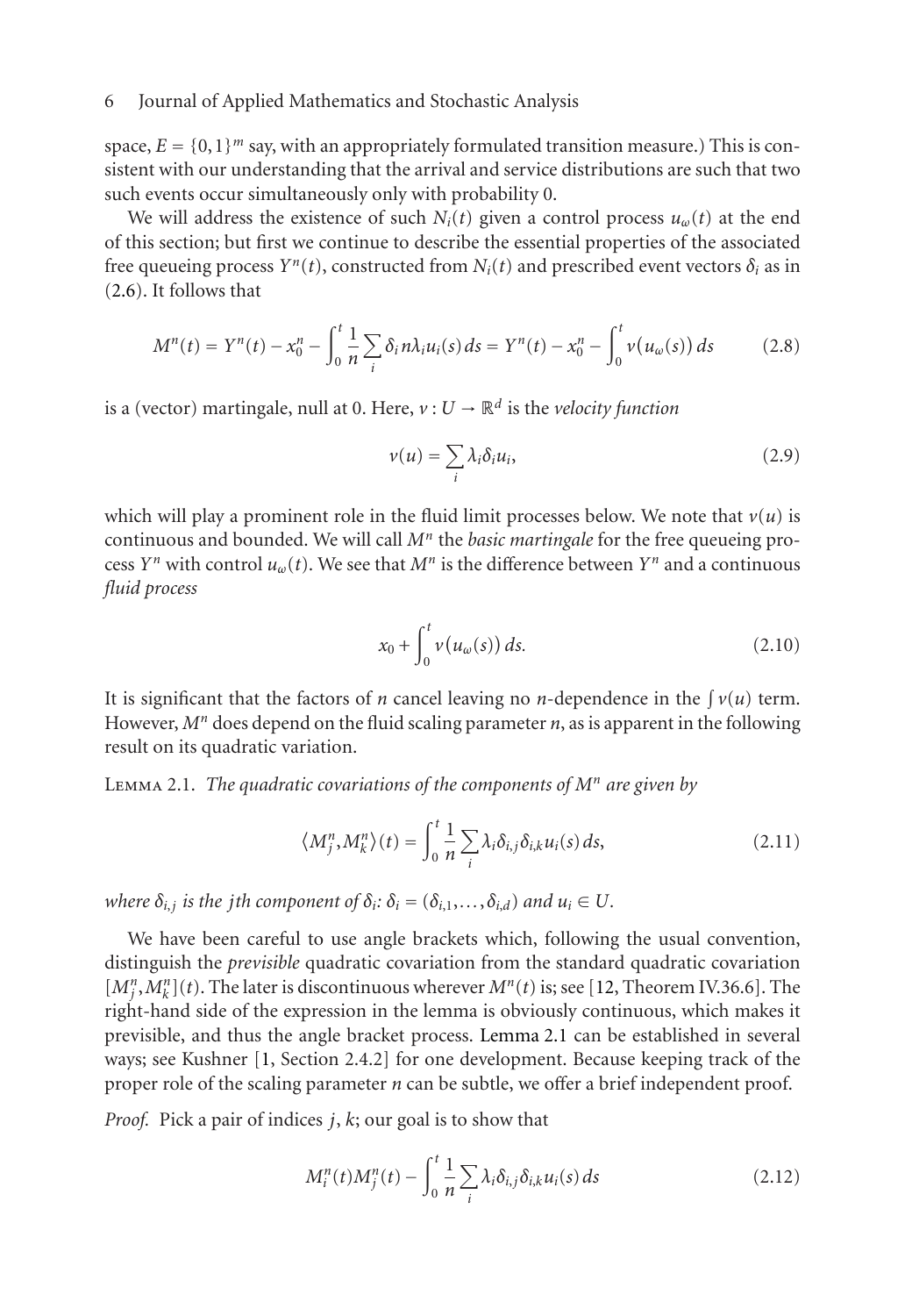space,  $E = \{0,1\}^m$  say, with an appropriately formulated transition measure.) This is consistent with our understanding that the arrival and service distributions are such that two such events occur simultaneously only with probability 0.

We will address the existence of such  $N_i(t)$  given a control process  $u_\omega(t)$  at the end of this section; but first we continue to describe the essential properties of the associated free queueing process  $Y^n(t)$ , constructed from  $N_i(t)$  and prescribed event vectors  $\delta_i$  as in (2.6). It follows that

$$
M^{n}(t) = Y^{n}(t) - x_{0}^{n} - \int_{0}^{t} \frac{1}{n} \sum_{i} \delta_{i} n \lambda_{i} u_{i}(s) ds = Y^{n}(t) - x_{0}^{n} - \int_{0}^{t} v(u_{\omega}(s)) ds
$$
 (2.8)

is a (vector) martingale, null at 0. Here,  $v: U \to \mathbb{R}^d$  is the *velocity function* 

<span id="page-5-2"></span>
$$
v(u) = \sum_{i} \lambda_i \delta_i u_i, \qquad (2.9)
$$

<span id="page-5-0"></span>which will play a prominent role in the fluid limit processes below. We note that  $v(u)$  is continuous and bounded. We will call *Mn* the *basic martingale* for the free queueing process *Yn* with control  $u_\omega(t)$ . We see that  $M^n$  is the difference between *Yn* and a continuous *fluid process*

$$
x_0 + \int_0^t v(u_\omega(s)) ds.
$$
 (2.10)

It is significant that the factors of *n* cancel leaving no *n*-dependence in the  $\int v(u)$  term. However,  $M<sup>n</sup>$  does depend on the fluid scaling parameter *n*, as is apparent in the following result on its quadratic variation.

Lemma 2.1. *The quadratic covariations of the components of M[n](#page-18-6) are given by*

<span id="page-5-1"></span>
$$
\langle M_j^n, M_k^n \rangle(t) = \int_0^t \frac{1}{n} \sum_i \lambda_i \delta_{i,j} \delta_{i,k} u_i(s) ds,
$$
\n(2.11)

*where*  $\delta_{i,j}$  *is the jth component of*  $\delta_i$ *:*  $\delta_i = (\delta_{i,1}, \ldots, \delta_{i,d})$  *and*  $u_i \in U$ *.* 

We have been careful to use angle brackets which, following the usual convention, distinguish the *previsible* quadratic covariation from the standard quadratic covariation  $[M_j^n, M_k^n](t)$ . The later is discontinuous wherever  $M^n(t)$  is; see [12, Theorem IV.36.6]. The right-hand side of the expression in the lemma is obviously continuous, which makes it previsible, and thus the angle bracket process. Lemma 2.1 can be established in several ways; see Kushner [1, Section 2.4.2] for one development. Because keeping track of the proper role of the scaling parameter *n* can be subtle, we offer a brief independent proof.

*Proof.* Pick a pair of indices *j*, *k*; our goal is to show that

$$
M_i^n(t)M_j^n(t) - \int_0^t \frac{1}{n} \sum_i \lambda_i \delta_{i,j} \delta_{i,k} u_i(s) ds
$$
\n(2.12)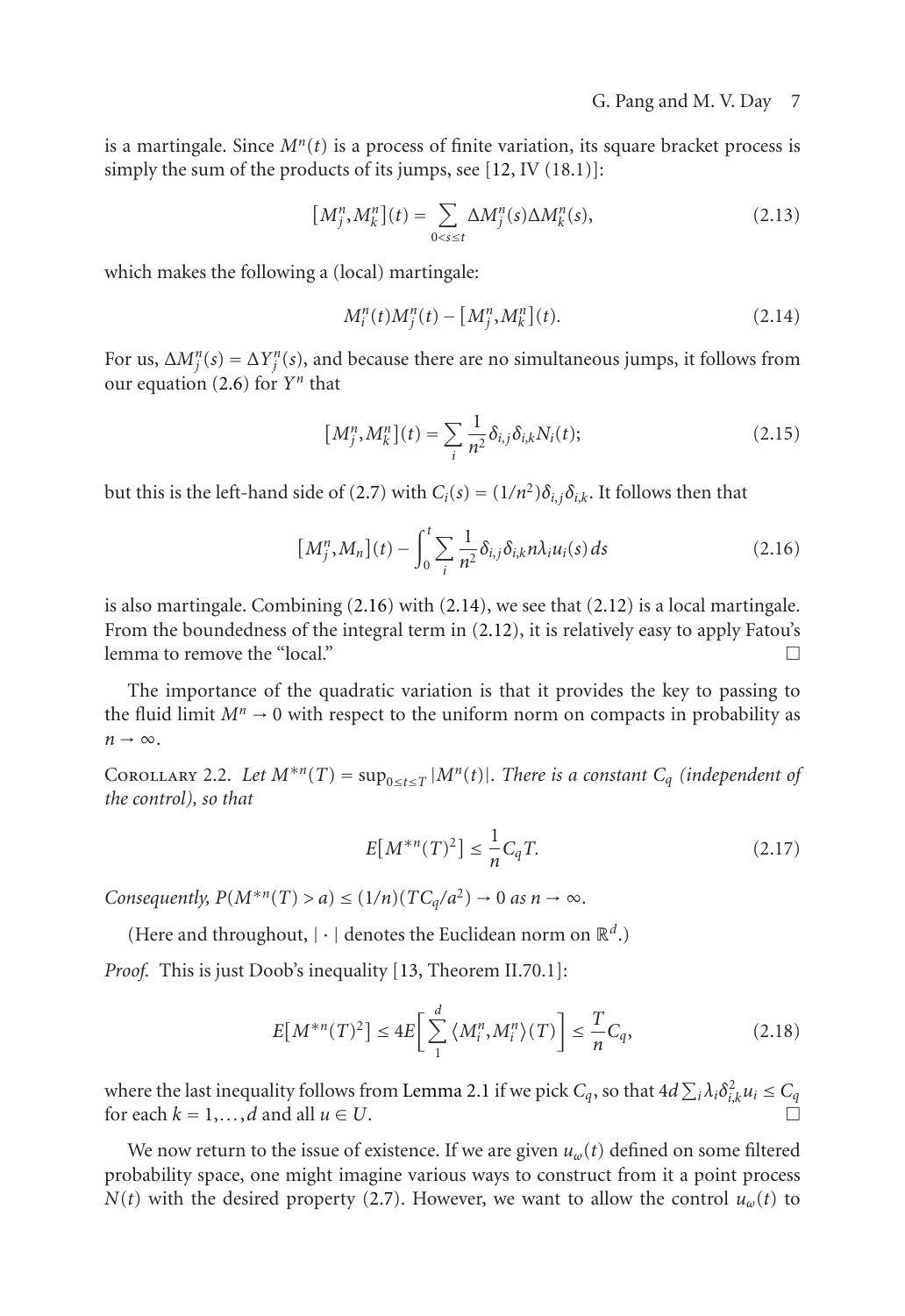is a martingale. Since  $M^n(t)$  is a process of finite variation, its square bracket process is simply the su[m of](#page-4-0) the products of its jumps, see [12, IV (18.1)]:

$$
[M_j^n, M_k^n](t) = \sum_{0 < s \le t} \Delta M_j^n(s) \Delta M_k^n(s),\tag{2.13}
$$

which makes the following a (l[ocal\)](#page-4-1) martingale:

$$
M_i^n(t)M_j^n(t) - [M_i^n, M_k^n](t).
$$
 (2.14)

For us,  $\Delta M_i^n(s) = \Delta Y_i^n(s)$ , and because there are no simultaneous jumps, it follows from our equation  $(2.6)$  for  $Y<sup>n</sup>$  that

$$
\left[M_j^n, M_k^n\right](t) = \sum_i \frac{1}{n^2} \delta_{i,j} \delta_{i,k} N_i(t); \tag{2.15}
$$

<span id="page-6-0"></span>but this is the left-hand side of (2.7) with  $C_i(s) = (1/n^2)\delta_{i,j}\delta_{i,k}$ . It follows then that

$$
[M_j^n, M_n](t) - \int_0^t \sum_i \frac{1}{n^2} \delta_{i,j} \delta_{i,k} n \lambda_i u_i(s) ds \qquad (2.16)
$$

is also martingale. Combining  $(2.16)$  with  $(2.14)$ , we see that  $(2.12)$  is a local martingale. From the boundedness of the integral term in (2.12), it is relatively easy to apply Fatou's lemma to remove the "local."  $\Box$ 

The importance of the quadratic variation is that it provides the key to passing to the fluid limit  $M^n \to 0$  with respect to the uniform norm on compacts in probability as  $n \rightarrow \infty$ .

COROLLARY 2.2. Let  $M^{*n}(T) = \sup_{0 \le t \le T} |M^n(t)|$ . There is a constant  $C_q$  *(independent of the control), so that*

$$
E[M^{*n}(T)^{2}] \le \frac{1}{n} C_{q} T.
$$
 (2.17)

*Consequently,*  $P(M^{*n}(T) > a) \leq (1/n)(TC_q/a^2) \to 0$  $P(M^{*n}(T) > a) \leq (1/n)(TC_q/a^2) \to 0$  $P(M^{*n}(T) > a) \leq (1/n)(TC_q/a^2) \to 0$  $P(M^{*n}(T) > a) \leq (1/n)(TC_q/a^2) \to 0$  $P(M^{*n}(T) > a) \leq (1/n)(TC_q/a^2) \to 0$  *as*  $n \to \infty$ *.* 

(Here and throughout,  $|\cdot|$  denotes the Euclidean norm on  $\mathbb{R}^d$ .)

*Proof.* This is just Doob's inequal[ity \[](#page-4-1)13, Theorem II.70.1]:

$$
E\big[M^{*n}(T)^2\big] \le 4E\bigg[\sum_{1}^{d} \langle M_i^n, M_i^n \rangle(T)\bigg] \le \frac{T}{n}C_q,\tag{2.18}
$$

where the last inequality follows from Lemma 2.1 if we pick  $C_q$ , so that  $4d\sum_i\lambda_i\delta_{i,k}^2u_i\leq C_q$ for each  $k = 1, \ldots, d$  and all  $u \in U$ .

We now return to the issue of existence. If we are given *uω*(*t*) defined on some filtered probability space, one might imagine various ways to construct from it a point process *N*(*t*) with the desired property (2.7). However, we want to allow the control  $u_{\omega}(t)$  to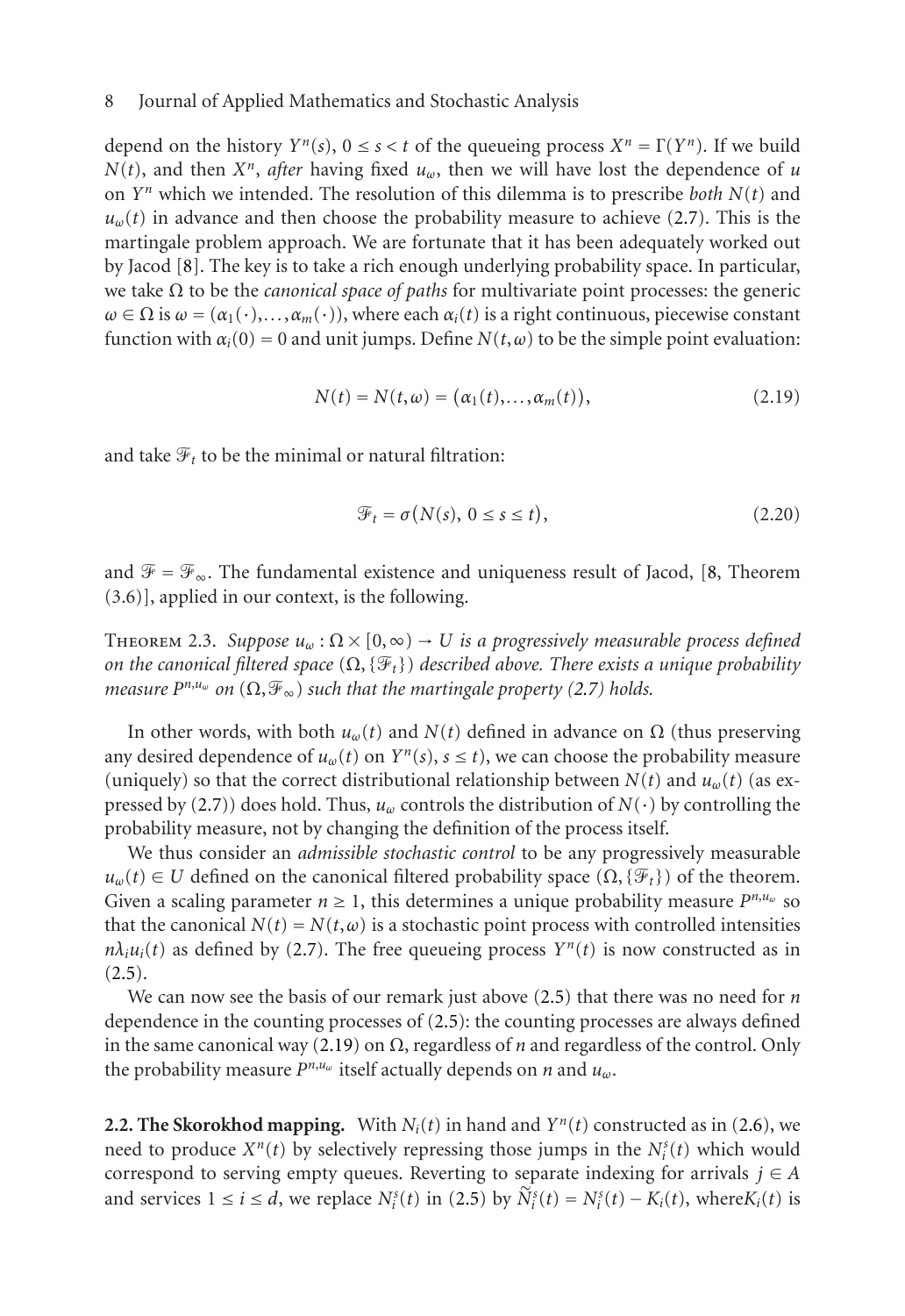depend on the history  $Y^n(s)$ ,  $0 \le s < t$  of the queueing process  $X^n = \Gamma(Y^n)$ . If we build  $N(t)$ , and then  $X^n$ , *after* having fixed  $u_\omega$ , then we will have lost the dependence of *u* on *Yn* which we intended. The resolution of this dilemma is to prescribe *both N*(*t*) and  $u<sub>\omega</sub>(t)$  in advance and then choose the probability measure to achieve (2.7). This is the martingale problem approach. We are fortunate that it has been adequately worked out by Jacod [8]. The key is to take a rich enough underlying probability space. In particular, we take Ω to be the *canonical space of paths* for multivariate point processes: the generic  $\omega \in \Omega$  is  $\omega = (\alpha_1(\cdot), \ldots, \alpha_m(\cdot))$ , where each  $\alpha_i(t)$  is a right continuous, piecewise constant function with  $\alpha_i(0) = 0$  and unit jumps. Define  $N(t, \omega)$  to be the simple poin[t e](#page-18-7)valuation:

<span id="page-7-0"></span>
$$
N(t) = N(t, \omega) = (\alpha_1(t), \dots, \alpha_m(t)),
$$
\n(2.19)

<span id="page-7-1"></span>and take  $\mathcal{F}_t$  to be the minimal or natural filtration:

$$
\mathcal{F}_t = \sigma(N(s), \ 0 \le s \le t),\tag{2.20}
$$

and  $\mathcal{F} = \mathcal{F}_{\infty}$ . The fundamental existence and uniqueness result of Jacod, [8, Theorem (3.6)], appl[ied](#page-4-1) [i](#page-4-1)n our context, is the following.

THEOREM 2.3. *Suppose*  $u_{\omega} : \Omega \times [0, \infty) \to U$  *is a progressively measurable process defined on the canonical filtered space*  $(\Omega, {\mathcal{F}_t})$  *described above. There exists a unique probability measure*  $P^{n,u_{\omega}}$  *on*  $(\Omega, \mathcal{F}_{\infty})$  *such that the martingale property* (2.7) *holds.* 

In other words, wit[h bot](#page-4-1)h  $u<sub>ω</sub>(t)$  and  $N(t)$  defined in advance on  $Ω$  (thus preserving [any d](#page-3-1)esired dependence of  $u_{\omega}(t)$  on  $Y^n(s)$ ,  $s \le t$ ), we can choose the probability measure (uniquely) so that the correct distributional relationshi[p be](#page-3-1)tween  $N(t)$  and  $u_{\omega}(t)$  (as expressed by (2.7)) does hold. Thus, *uω* con[trols](#page-3-1) the distribution of *N*(·) by controlling the probability measure, not b[y chan](#page-7-0)ging the definition of the process itself.

We thus consider an *admissible stochastic control* to be any progressively measurable  $u_{\omega}(t) \in U$  defined on the canonical filtered probability space  $(\Omega, {\mathcal{F}_t})$  of the theorem. Given a scaling parameter  $n \geq 1$ , this determines a unique probability measure  $P^{n,\mu_\omega}$  $P^{n,\mu_\omega}$  so that the canonical  $N(t) = N(t, \omega)$  is a stochastic point process with controlled intensities  $n\lambda_i u_i(t)$  as defined by (2.7). The free queueing process  $Y^n(t)$  is now constructed as in  $(2.5).$ 

We can now see the basis of our remark j[ust](#page-3-1) above (2.5) that there was no need for *n* dependence in the counting processes of (2.5): the counting processes are always defined in the same canonical way (2.19) on Ω, regardless of *n* and regardless of the control. Only the probability measure *Pn*,*uω* itself actually depends on *n* and *uω*.

**2.2. The Skorokhod mapping.** With  $N_i(t)$  in hand and  $Y^n(t)$  constructed as in (2.6), we need to produce  $X^n(t)$  by selectively repressing those jumps in the  $N_i^s(t)$  which would correspond to serving empty queues. Reverting to separate indexing for arrivals  $j \in A$ and services  $1 \le i \le d$ , we replace  $N_i^s(t)$  in (2.5) by  $\widetilde{N}_i^s(t) = N_i^s(t) - K_i(t)$ , where  $K_i(t)$  is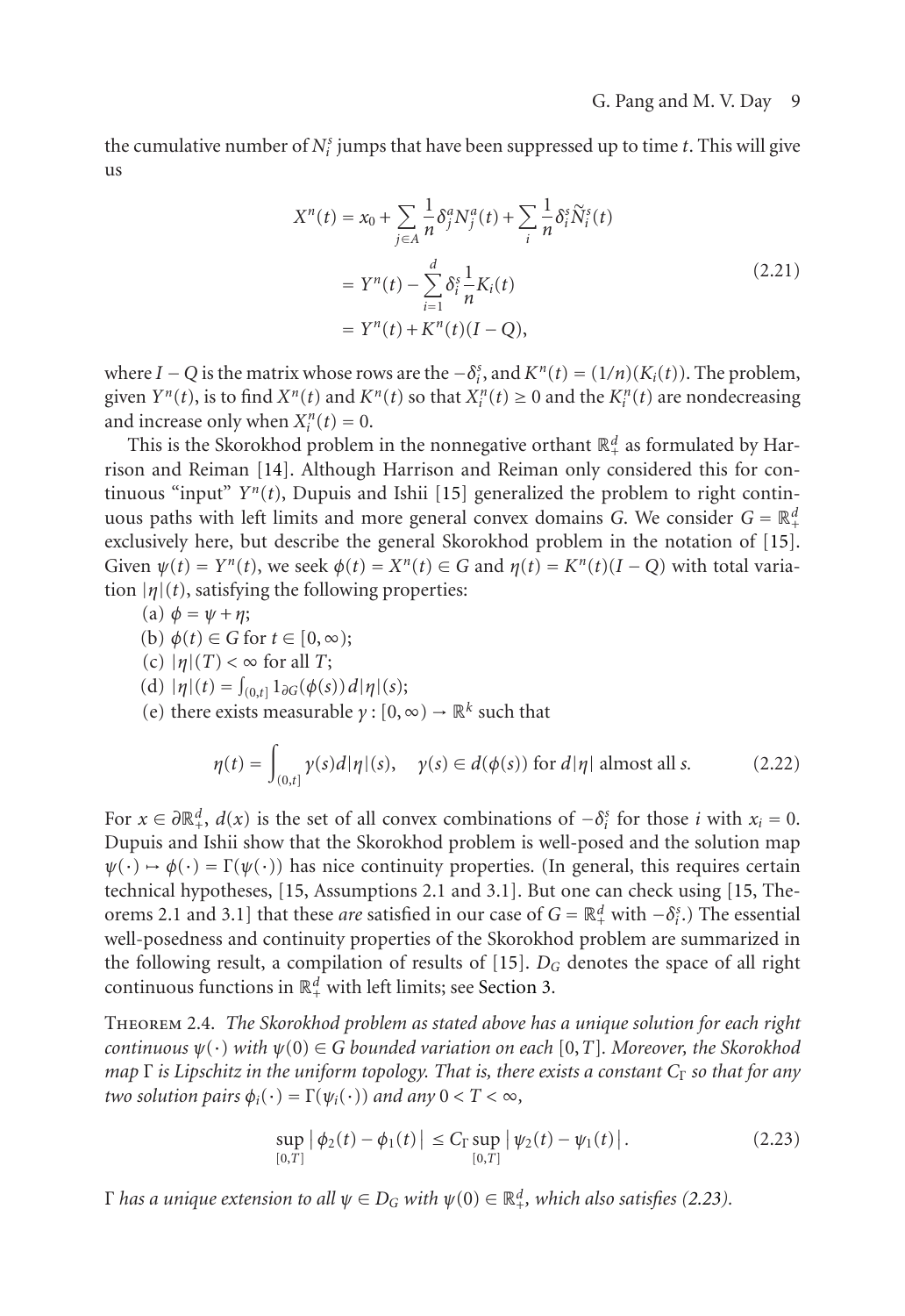the cumulative number of  $N_i^s$  jumps that have been suppressed up to time  $t$ . This will give us

$$
X^{n}(t) = x_{0} + \sum_{j \in A} \frac{1}{n} \delta_{j}^{a} N_{j}^{a}(t) + \sum_{i} \frac{1}{n} \delta_{i}^{s} \tilde{N}_{i}^{s}(t)
$$
  
=  $Y^{n}(t) - \sum_{i=1}^{d} \delta_{i}^{s} \frac{1}{n} K_{i}(t)$   
=  $Y^{n}(t) + K^{n}(t)(I - Q),$  (2.21)

where *I* − *Q* is the matrix whose rows are the  $-\delta_i^s$ , and  $K^n(t) = (1/n)(K_i(t))$ . The problem, given  $Y^n(t)$ , is to find  $X^n(t)$  and  $K^n(t)$  so that  $X_i^n(t) \ge 0$  and the  $K_i^n(t)$  are nondecreasing and increase only when  $X_i^n(t) = 0$ .

This is the Skorokhod problem in the nonnegative orthant  $\mathbb{R}^d_+$  as formulated by Harrison and Reiman [14]. Although Harrison and Reiman only considered this for continuous "input"  $Y^n(t)$ , Dupuis and Ishii [15] generalized the problem to right continuous paths with left limits and more general convex domains *G*. We consider  $G = \mathbb{R}^d_+$ exclusively here, but describe the general Skorokhod problem in the notation of [15]. Given  $\psi(t) = Y^n(t)$ , we seek  $\phi(t) = X^n(t) \in G$  and  $\eta(t) = K^n(t)(I - Q)$  with total variation  $|\eta|(t)$ , satisfying the following properties:

(a) 
$$
\phi = \psi + \eta
$$
;

(b)  $\phi(t) \in G$  for  $t \in [0, \infty)$ ;

(c) 
$$
|\eta|(T) < \infty
$$
 for all  $T$ ;

(d)  $|\eta|(t) = \int_{(0,t]} 1_{\partial G}(\phi(s)) d|\eta|(s);$ 

(e) there exists measurable  $\gamma$  :  $[0, \infty) \to \mathbb{R}^k$  such that

$$
\eta(t) = \int_{(0,t]} \gamma(s)d|\eta|(s), \quad \gamma(s) \in d(\phi(s)) \text{ for } d|\eta| \text{ almost all } s. \tag{2.22}
$$

For  $x \in \partial \mathbb{R}^d_+$ ,  $d(x)$  is the set of all convex combinations of  $-\delta_i^s$  for those *i* with  $x_i = 0$ . Dupuis and Ishii show that the Skorokhod problem is well-posed and the solution map  $\psi(\cdot) \mapsto \phi(\cdot) = \Gamma(\psi(\cdot))$  has nice continuity properties. (In general, this requires certain technical hypotheses, [15, Assumptions 2.1 and 3.1]. But one can check using [15, Theorems 2.1 and 3.1] that these *are* satisfied in our case of  $G = \mathbb{R}^d_+$  with  $-\delta_i^s$ .) The essential well-posedness and continuity properties of the Skorokhod problem are summarized in the following result, a compilation of results of [15]. *DG* denotes the space of all right continuous functions in  $\mathbb{R}^d_+$  with left limits; see Section 3.

Theorem 2.4. *The Skorokhod problem as stated above has a unique solution for each right continuous*  $\psi(\cdot)$  *with*  $\psi(0) \in G$  *bounded variation on each* [0,*T*]*. Moreover, the Skorokhod map* Γ *is Lipschitz in the uniform topology. That is, there exists a constant*  $C_\Gamma$  *so that for any two solution pairs*  $\phi_i(\cdot) = \Gamma(\psi_i(\cdot))$  *and any*  $0 < T < \infty$ *,* 

<span id="page-8-0"></span>
$$
\sup_{[0,T]} |\phi_2(t) - \phi_1(t)| \le C_\Gamma \sup_{[0,T]} |\psi_2(t) - \psi_1(t)|. \tag{2.23}
$$

 $Γ$  *has a unique extension to all*  $ψ ∈ D<sub>G</sub>$  *with*  $ψ(0) ∈ ℝ<sup>d</sup><sub>+</sub>$ *, which also satisfies* (2.23).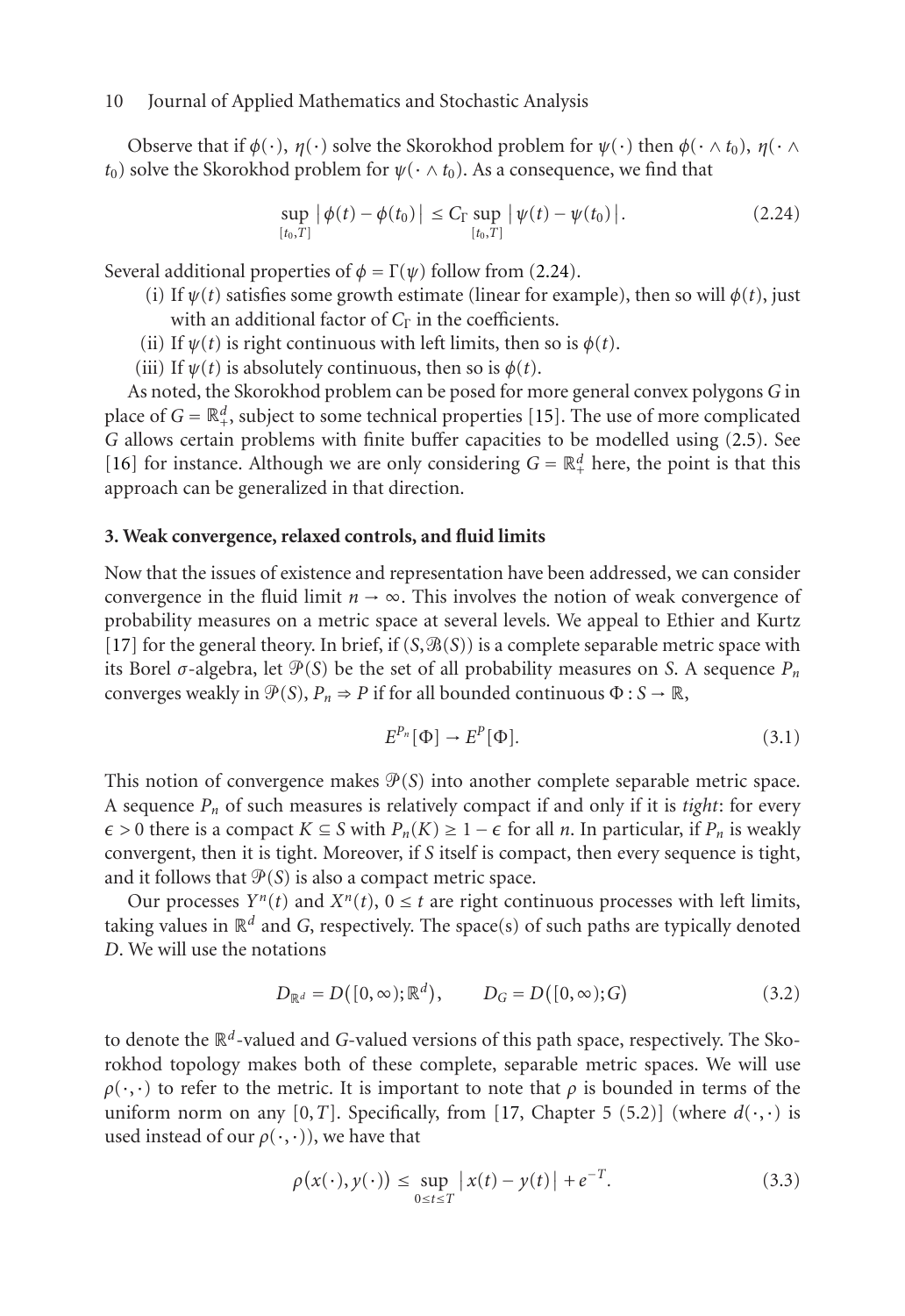Observe that if  $\phi(\cdot)$ ,  $\eta(\cdot)$  solve the Skorokhod problem for  $\psi(\cdot)$  then  $\phi(\cdot \wedge t_0)$ ,  $\eta(\cdot \wedge t_0)$  $t_0$ ) solve the Skorokhod problem for  $\psi(\cdot \wedge t_0)$ . As a consequence, we find that

$$
\sup_{[t_0,T]} |\phi(t) - \phi(t_0)| \leq C_\Gamma \sup_{[t_0,T]} |\psi(t) - \psi(t_0)|. \tag{2.24}
$$

<span id="page-9-0"></span>Several additional properties of  $\phi = \Gamma(\psi)$  follow from (2.24).

- (i) If  $\psi(t)$  satisfies some growth estimate (linear for example), then so will  $\phi(t)$ , just with an additional factor of *C*<sub>Γ</sub> in the coefficients.
- (ii) If  $\psi(t)$  is right continuous with left limits, then so is  $\phi(t)$ .
- (iii) If  $\psi(t)$  is absolutely continuous, then so is  $\phi(t)$ .

As noted, the Skorokhod problem can be posed for more general convex polygons *G* in [plac](#page-18-9)e of  $G = \mathbb{R}^d_+$ , subject to some technical properties [15]. The use of more complicated *G* allows certain problems with finite buffer capacities to be modelled using (2.5). See [16] for instance. Although we are only considering  $G = \mathbb{R}^d_+$  here, the point is that this approach can be generalized in that direction.

#### **3. Weak convergence, relaxed controls, and fluid limits**

Now that the issues of existence and representation have been addressed, we can consider convergence in the fluid limit  $n \to \infty$ . This involves the notion of weak convergence of probability measures on a metric space at several levels. We appeal to Ethier and Kurtz [17] for the general theory. In brief, if  $(S, \mathcal{B}(S))$  is a complete separable metric space with its Borel  $\sigma$ -algebra, let  $\mathcal{P}(S)$  be the set of all probability measures on *S*. A sequence  $P_n$ converges weakly in  $\mathcal{P}(S)$ ,  $P_n \Rightarrow P$  if for all bounded continuous  $\Phi : S \to \mathbb{R}$ ,

<span id="page-9-1"></span>
$$
E^{P_n}[\Phi] \to E^P[\Phi].\tag{3.1}
$$

This notion of convergence makes  $\mathcal{P}(S)$  into another complete separable metric space. A sequence *Pn* of such measures is relatively compact if and only if it is *tight*: for every  $\epsilon > 0$  there is a compact *K* ⊆ *S* with *P<sub>n</sub>*(*K*) ≥ 1 −  $\epsilon$  for all *n*. In particular, if *P<sub>n</sub>* is weakly convergent, then it is tight. Moreover, if *S* itself is compact, then every sequence is tight, and it follows that  $\mathcal{P}(S)$  is also a compact metric space.

Our processes  $Y^n(t)$  and  $X^n(t)$ ,  $0 \le t$  are right [co](#page-18-9)ntinuous processes with left limits, taking values in  $\mathbb{R}^d$  and *G*, respectively. The space(s) of such paths are typically denoted *D*. We will use the notations

$$
D_{\mathbb{R}^{d}} = D([0, \infty); \mathbb{R}^{d}), \qquad D_{G} = D([0, \infty); G)
$$
 (3.2)

to denote the <sup>R</sup>*d*-valued and *G*-valued versions of this path space, respectively. The Skorokhod topology makes both of these complete, separable metric spaces. We will use  $\rho(\cdot,\cdot)$  to refer to the metric. It is important to note that  $\rho$  is bounded in terms of the uniform norm on any [0,*T*]. Specifically, from [17, Chapter 5 (5.2)] (where  $d(\cdot, \cdot)$  is used instead of our  $\rho(\cdot,\cdot)$ ), we have that

$$
\rho(x(\cdot), y(\cdot)) \le \sup_{0 \le t \le T} |x(t) - y(t)| + e^{-T}.
$$
\n(3.3)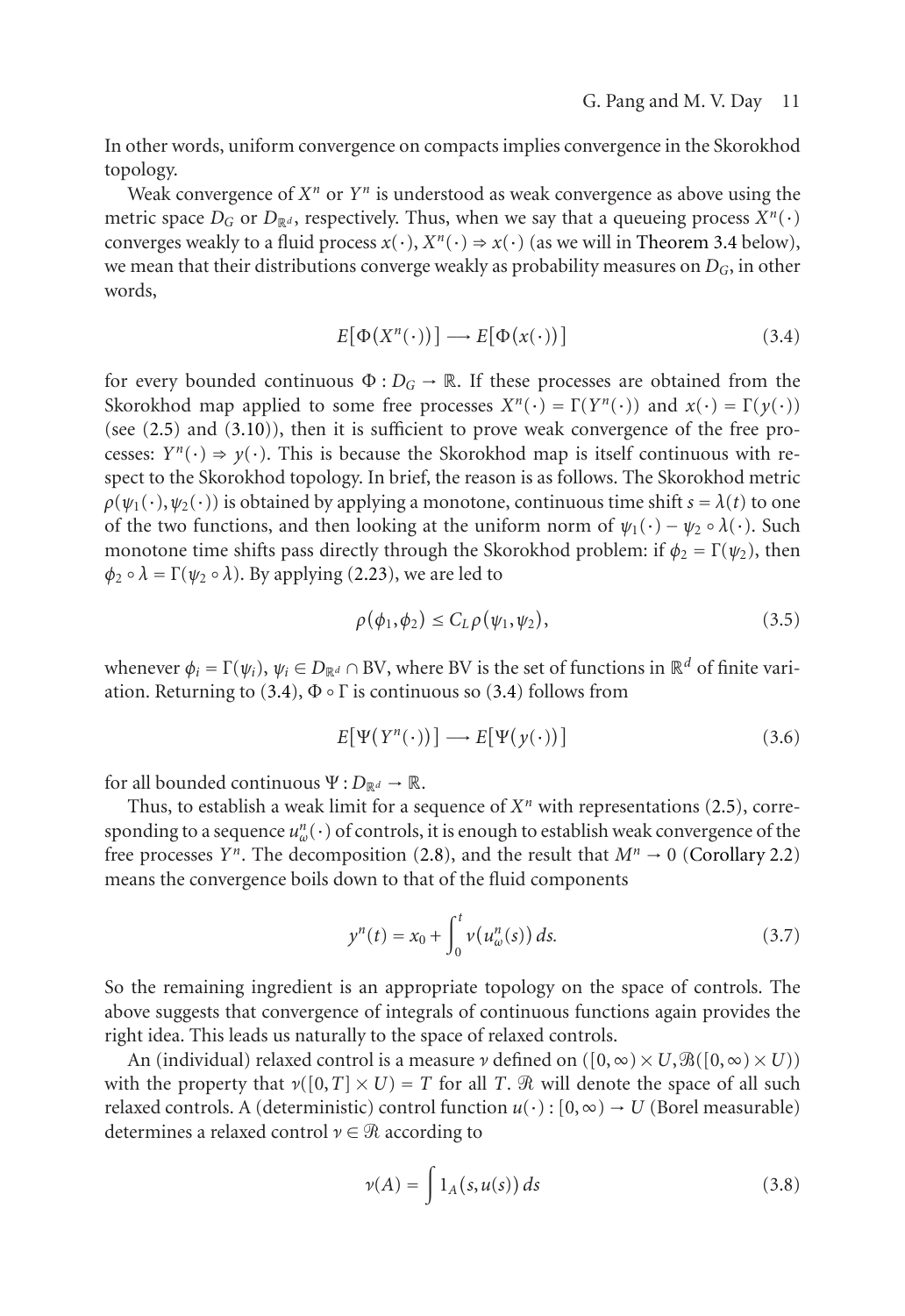In other words, uniform convergence on compacts implies convergence in the Skorokhod topology.

Weak convergence of  $X^n$  or  $Y^n$  is understood as weak convergence as above using the metr[ic sp](#page-3-1)ace  $D_G$  [or](#page-11-0)  $D_{\mathbb{R}^d}$ , respectively. Thus, when we say that a queueing process  $X^n(\cdot)$ converges weakly to a fluid process  $x(\cdot)$ ,  $X^n(\cdot) \Rightarrow x(\cdot)$  (as we will in Theorem 3.4 below), we mean that their distributions converge weakly as probability measures on *DG*, in other words,

<span id="page-10-0"></span>
$$
E[\Phi(X^n(\cdot))] \longrightarrow E[\Phi(x(\cdot))]
$$
\n(3.4)

for every bounded continuous  $\Phi: D_G \to \mathbb{R}$ . If these processes are obtained from the Skorokhod map applied to some free processes  $X^n(\cdot) = \Gamma(Y^n(\cdot))$  and  $x(\cdot) = \Gamma(\gamma(\cdot))$ (see (2.5) and (3.10)), then it is sufficient to prove weak convergence of the free processes:  $Y^n(\cdot) \Rightarrow y(\cdot)$ . This is because the Skorokhod map is itself continuous with respect to the Skorokh[od t](#page-10-0)opology. In brief, the rea[son](#page-10-0) is as follows. The Skorokhod metric  $\rho(\psi_1(\cdot), \psi_2(\cdot))$  is obtained by applying a monotone, continuous time shift  $s = \lambda(t)$  to one of the two functions, and then looking at the uniform norm of  $\psi_1(\cdot) - \psi_2 \circ \lambda(\cdot)$ . Such monotone time shifts pass directly through the Skorokhod problem: if  $\phi_2 = \Gamma(\psi_2)$ , then  $\phi_2 \circ \lambda = \Gamma(\psi_2 \circ \lambda)$ . By applying (2.23), we are led to

$$
\rho(\phi_1, \phi_2) \le C_L \rho(\psi_1, \psi_2), \tag{3.5}
$$

whenever  $\phi_i = \Gamma(\psi_i)$ ,  $\psi_i \in D_{\mathbb{R}^d} \cap BV$ , where BV is the set of functions in  $\mathbb{R}^d$  of finite variation. Returning to (3.4),  $\Phi \circ \Gamma$  is continuous so (3.4) follows from

$$
E[\Psi(Y^n(\cdot))] \longrightarrow E[\Psi(y(\cdot))]
$$
\n(3.6)

for all bounded continuous  $\Psi: D_{\mathbb{R}^d} \to \mathbb{R}$ .

Thus, to establish a weak limit for a sequence of  $X<sup>n</sup>$  with representations (2.5), corresponding to a sequence  $u_w^n(\cdot)$  of controls, it is enough to establish weak convergence of the free processes *Y<sup>n</sup>*. The decomposition (2.8), and the result that  $M^n \to 0$  (Corollary 2.2) means the convergence boils down to that of the fluid components

$$
y^{n}(t) = x_{0} + \int_{0}^{t} \nu(u_{\omega}^{n}(s)) ds.
$$
 (3.7)

So the remaining ingredient is an appropriate topology on the space of controls. The above suggests that convergence of integrals of continuous functions again provides the right idea. This leads us naturally to the space of relaxed controls.

An (individual) relaxed control is a measure  $\nu$  defined on ( $[0, \infty) \times U$ ,  $\mathcal{B}([0, \infty) \times U)$ ) with the property that  $\nu([0, T] \times U) = T$  for all *T*.  $\Re$  will denote the space of all such relaxed controls. A (deterministic) control function  $u(\cdot)$ :  $[0, \infty) \rightarrow U$  (Borel measurable) determines a relaxed control *ν* ∈  $\Re$  according to

$$
\nu(A) = \int 1_A(s, u(s)) ds \tag{3.8}
$$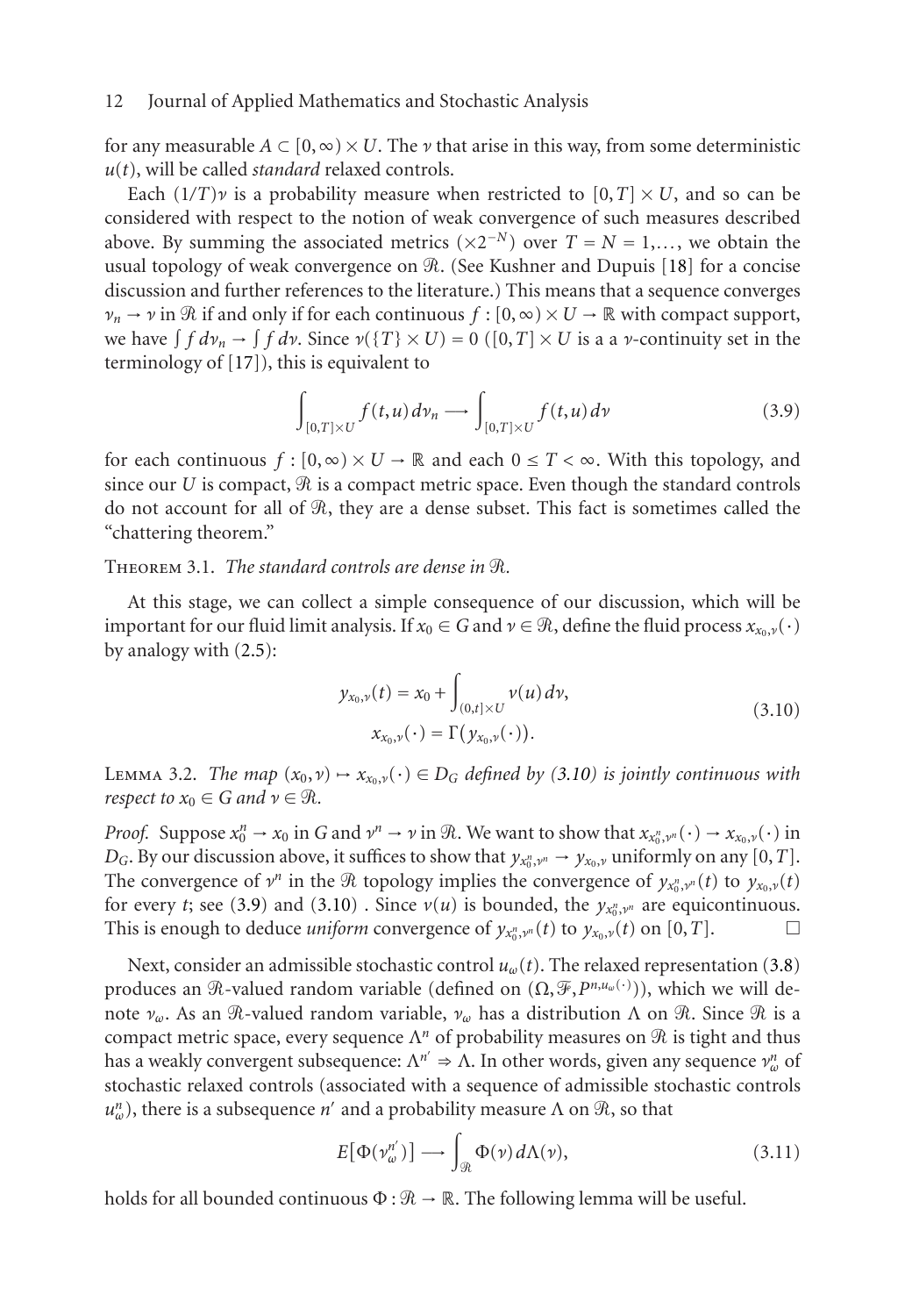for any measura[ble](#page-18-9)  $A \subset [0, \infty) \times U$ . The *ν* that arise in this way, from some deterministic  $u(t)$ , will be called *standard* relaxed controls.

<span id="page-11-3"></span>Each  $(1/T)\nu$  is a probability measure when restricted to  $[0, T] \times U$ , and so can be considered with respect to the notion of weak convergence of such measures described above. By summing the associated metrics  $(\times 2^{-N})$  over  $T = N = 1,...$ , we obtain the usual topology of weak convergence on R. (See Kushner and Dupuis [18] for a concise discussion and further references to the literature.) This means that a sequence converges  $\nu_n \to \nu$  in  $\Re$  if and only if for each continuous  $f : [0, \infty) \times U \to \Re$  with compact support, we have  $\int f d\nu_n \to \int f d\nu$ . Since  $\nu(\lbrace T \rbrace \times U) = 0$  ([0,*T*] × *U* is a a *v*-continuity set in the terminology of [17]), this is equivalent to

<span id="page-11-0"></span>
$$
\int_{[0,T]\times U} f(t,u) \, dv_n \longrightarrow \int_{[0,T]\times U} f(t,u) \, dv \tag{3.9}
$$

for each continuous  $f : [0, \infty) \times U \to \mathbb{R}$  and each  $0 \leq T < \infty$ . With this topology, and since our  $U$  is compact,  $\Re$  is a compact metric space. Even though the standard controls do not account for all of  $\mathcal R,$  they are a dense subset. This fact is sometimes called the "chattering theorem."

## <span id="page-11-1"></span>THEOREM 3.1. *The standard controls are dense in*  $\Re$ .

At this stage, we can collect a simple consequence of our discussion, which will be important for our fluid limit analysis. If  $x_0 \in G$  and  $\nu \in \mathcal{R}$ , define the fluid process  $x_{x_0,\nu}(\cdot)$ by analogy with (2.5):

$$
y_{x_0,\nu}(t) = x_0 + \int_{(0,t] \times U} \nu(u) \, dv,
$$
  
\n
$$
x_{x_0,\nu}(\cdot) = \Gamma(y_{x_0,\nu}(\cdot)).
$$
\n(3.10)

LEMMA 3.2. *The map*  $(x_0, v) \mapsto x_{x_0, v}(v) \in D_G$  *defined by (3.10) is jointly continuous with respect to*  $x_0 \in G$  *and*  $v \in \mathcal{R}$ .

*Proof.* Suppose  $x_0^n \to x_0$  in *G* and  $v^n \to v$  in  $\Re$ . We want to show that  $x_{x_0^n, v^n}(\cdot) \to x_{x_0, v}(\cdot)$  in *D<sub>G</sub>*. By our discussion above, it suffices to show that  $y_{x_0^n, v^n} \to y_{x_0, v}$  uniformly on any [0,*T*]. The convergence of  $v^n$  in the  $\Re$  topology implies the convergence of  $y_{x_0^n, v^n}(t)$  to  $y_{x_0, v}(t)$ for every *t*; see (3.9) and (3.10). Since  $v(u)$  is bounded, the  $y_{x_0^n, y^n}$  are equicontinuous. This is enough to deduce *uniform* convergence of  $y_{x_0^n, y^n}(t)$  to  $y_{x_0, y}(t)$  on  $[0, T]$ .  $\Box$ 

<span id="page-11-2"></span>Next, consider an admissible stochastic control *uω*(*t*). The relaxed representation (3.8) produces an R-valued random variable (defined on (Ω, F, P<sup>n,μ</sup>ω<sup>(·)</sup>)), which we will denote  $ν_ω$ . As an  $\Re$ -valued random variable,  $ν_ω$  has a distribution Λ on  $\Re$ . Since  $\Re$  is a compact metric space, every sequence  $\Lambda^n$  of probability measures on  $\Re$  is tight and thus has a weakly convergent subsequence: Λ*n* <sup>⇒</sup> Λ. In other words, given any sequence *ν<sup>n</sup> ω* of stochastic relaxed controls (associated with a sequence of admissible stochastic controls *u*<sub>*w*</sub>), there is a subsequence *n'* and a probability measure Λ on  $\Re$ , so that

$$
E[\Phi(\nu^{n'}_{\omega})] \longrightarrow \int_{\mathcal{R}} \Phi(\nu) d\Lambda(\nu), \qquad (3.11)
$$

holds for all bounded continuous  $\Phi : \mathcal{R} \to \mathbb{R}$ . The following lemma will be useful.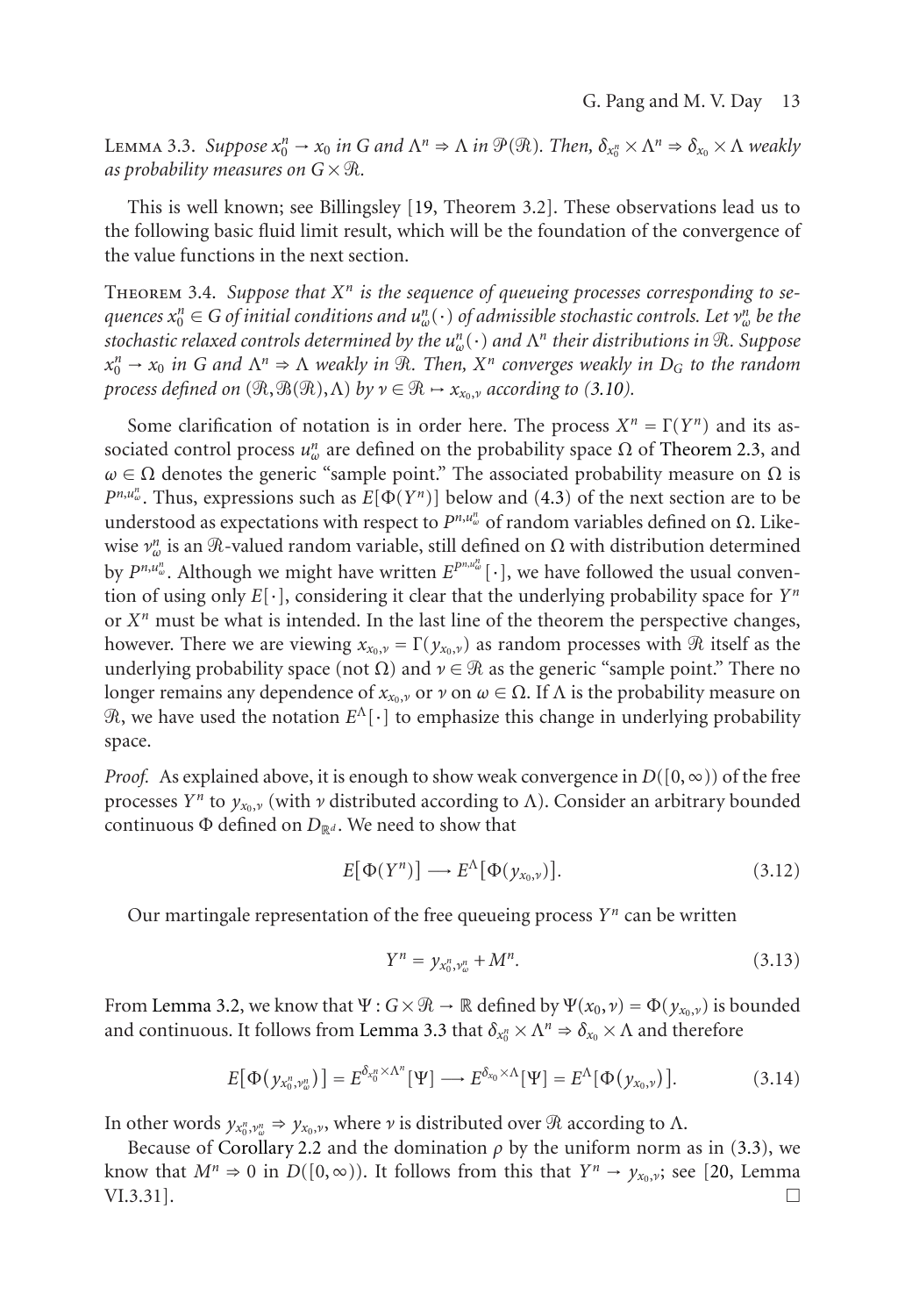<span id="page-12-0"></span> $\Delta$ Емма 3.3. *Suppose*  $x_0^n$  →  $x_0$  *in G* and  $\Lambda^n$  ⇒  $\Lambda$  *in*  $\mathcal{P}(\mathcal{R})$ *. Then,*  $\delta_{x_0} \times \Lambda^n$  ⇒  $\delta_{x_0} \times \Lambda$  weakly as probability measures on  $G \times \mathcal{R}$ .

This is well known; see Billingsley [19, Theorem 3.2]. These observations lead us to the following basic fluid limit result, which will be the foundation of [the convergen](#page-7-1)ce of the value functions in the next section.

Theorem 3.4. *Suppose that Xn is the sequence of queu[eing](#page-13-1) processes corresponding to se* $q$ uences  $x_0^n \in G$  *of initial conditions and*  $u_w^n(\cdot)$  *of admissible stochastic controls. Let*  $v_w^n$  *be the stochastic relaxed controls determined by the un <sup>ω</sup>*(·) *and* Λ*<sup>n</sup> their distributions in* -*. Suppose*  $x_0^n \to x_0$  *in G* and  $\Lambda^n \Rightarrow \Lambda$  weakly *in*  $\mathcal{R}$ *. Then,*  $X^n$  *converges weakly in*  $D_G$  *to the random process defined on*  $(\Re, \Re(\Re), \Lambda)$  *by*  $\nu \in \Re \rightarrow x_{x_0, \nu}$  according to (3.10).

Some clarification of notation is in order here. The process  $X^n = \Gamma(Y^n)$  and its associated control process  $u^n_\omega$  are defined on the probability space  $\Omega$  of Theorem 2.3, and  $ω ∈ Ω$  denotes the generic "sample point." The associated probability measure on  $Ω$  is  $P^{n,u_w^n}$ . Thus, expressions such as  $E[\Phi(Y^n)]$  below and (4.3) of the next section are to be understood as expectations with respect to  $P^{n,u_w^n}$  of random variables defined on Ω. Likewise  $v_{\omega}^n$  is an  $\Re$ -valued random variable, still defined on  $\Omega$  with distribution determined by  $P^{n,u_w^n}$ . Although we might have written  $E^{P^{n,u_w^n}}[\cdot]$ , we have followed the usual convention of using only *E*[·], considering it clear that the underlying probability space for *Yn* or  $X<sup>n</sup>$  must be what is intended. In the last line of the theorem the perspective changes, however. There we are viewing  $x_{x_0,y} = \Gamma(y_{x_0,y})$  as random processes with  $\Re$  itself as the underlying probability space (not  $\Omega$ ) and  $\nu \in \mathcal{R}$  as the generic "sample point." There no longer remains any dependence of  $x_{x_0, y}$  or  $\nu$  on  $\omega \in \Omega$ . If  $\Lambda$  is the probability measure on -, we have used the notation *E*Λ[·] to emphasize this change in underlying probability space.

*Proof.* [As explaine](#page-11-1)d above, it is enough to show weak convergence in  $D([0,\infty))$  of the free processes *Y<sup>n</sup>* to  $y_{x_0,y}$  (with *ν* distributed according to Λ). Consider an arbitrary bounded continuous  $\Phi$  defined on  $D_{\mathbb{R}^d}$ . [We](#page-11-2) [need](#page-11-2) [to](#page-11-2) [sh](#page-11-2)ow that

$$
E[\Phi(Y^n)] \longrightarrow E^{\Lambda}[\Phi(\mathbf{y}_{\mathbf{x}_0,\nu})]. \tag{3.12}
$$

Our marti[ngale](#page-6-0) [represent](#page-6-0)ation of the free queueing process *Yn* can be writte[n](#page-9-1)

$$
Y^n = \gamma_{x_0^n, y_\omega^n} + M^n. \tag{3.13}
$$

From Lemma 3.2, we know that  $\Psi: G \times \mathcal{R} \to \mathbb{R}$  defined by  $\Psi(x_0, \nu) = \Phi(y_{x_0, \nu})$  is bounded and continuous. It follows from Lemma 3.3 that  $\delta_{x_0^n} \times \Lambda^n \Rightarrow \delta_{x_0} \times \Lambda$  and therefore

$$
E[\Phi(\mathcal{y}_{x_0^n,\mathcal{W}_\omega^n})] = E^{\delta_{x_0^n}\times\Lambda^n}[\Psi] \longrightarrow E^{\delta_{x_0}\times\Lambda}[\Psi] = E^\Lambda[\Phi(\mathcal{y}_{x_0,\mathcal{V}})].
$$
\n(3.14)

In other words  $y_{x_0^n, y_0^n} \Rightarrow y_{x_0, y}$ , where  $\nu$  is distributed over  $\Re$  according to  $\Lambda$ .

Because of Corollary 2.2 and the domination  $\rho$  by the uniform norm as in (3.3), we know that  $M^n \Rightarrow 0$  in  $D([0,\infty))$ . It follows from this that  $Y^n \rightarrow y_{x_0,y}$ ; see [20, Lemma VI.3.31].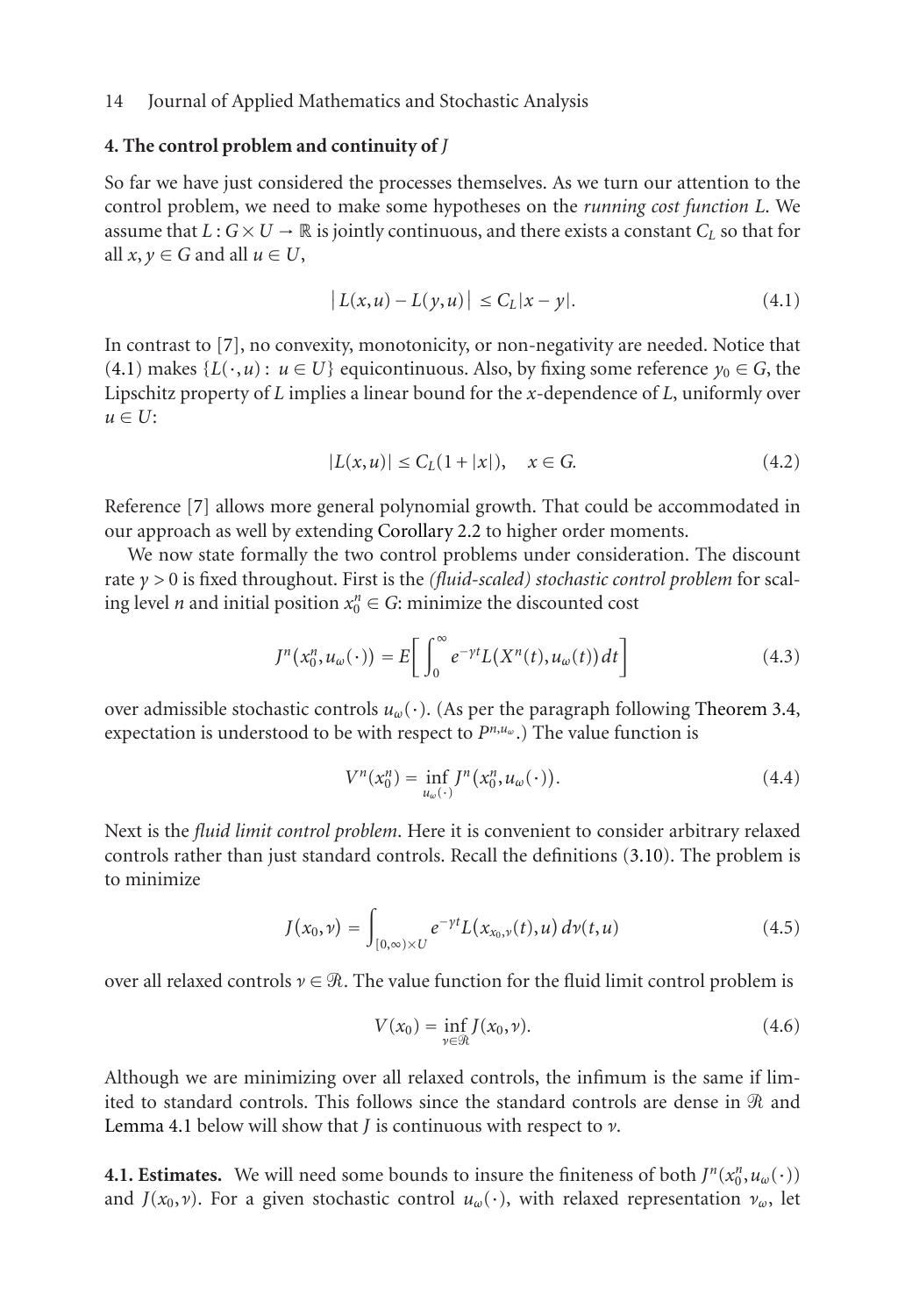## <span id="page-13-0"></span>**[4. Th](#page-13-2)e control [p](#page-18-3)roblem and continuity of** *J*

So far we have just considered the processes themselves. As we turn our attention to the control problem, we need to make some hypotheses on the *running cost function L*. We assume that  $L: G \times U \to \mathbb{R}$  is jointly continuous, and there exists a constant  $C_L$  so that for all  $x, y \in G$  and all  $u \in U$ ,

<span id="page-13-2"></span>
$$
|L(x, u) - L(y, u)| \le C_L |x - y|.
$$
 (4.1)

In contrast to [7], no convexity, monotonicity, or non-negativity are needed. Notice that (4.1) makes  $\{L(\cdot, u): u \in U\}$  equicontinuous. Also, by fixing some reference  $y_0 \in G$ , the Lipschitz property of *L* implies a linear bound for the *x*-dependence of *L*, uniformly over  $u \in U$ :

<span id="page-13-1"></span>
$$
|L(x, u)| \le C_L(1 + |x|), \quad x \in G. \tag{4.2}
$$

Reference [7] allows more general polynomial growth. That could be acc[ommodated](#page-12-0) [in](#page-12-0) our approach as well by extending Corollary 2.2 to higher order moments.

We now state formally the two control problems under consideration. The discount rate *γ >* 0 is fixed throughout. First is the *(fluid-scaled) stochastic control problem* for scaling level *n* and initial position  $x_0^n \in G$ : minimize the discounted cost

$$
J^{n}(x_{0}^{n},u_{\omega}(\cdot))=E\bigg[\int_{0}^{\infty}e^{-\gamma t}L(X^{n}(t),u_{\omega}(t))dt\bigg]
$$
\n(4.3)

over admissible stochastic controls *uω*(·). (As per the paragraph following Theorem 3.4, expectation is understood to be with respect to *Pn*,*uω* .) The value function is

$$
V^n(x_0^n) = \inf_{u_\omega(\cdot)} J^n(x_0^n, u_\omega(\cdot)).
$$
\n(4.4)

Next is the *fluid limit control problem*. Here it is convenient to consider arbitrary relaxed controls rather than just standard controls. Recall the definitions (3.10). The problem is to minimize

$$
J(x_0, \nu) = \int_{[0,\infty)\times U} e^{-\gamma t} L(x_{x_0,\nu}(t), u) d\nu(t, u)
$$
 (4.5)

over all relaxed controls  $\nu \in \mathcal{R}$ . The value function for the fluid limit control problem is

$$
V(x_0) = \inf_{\nu \in \mathcal{R}} J(x_0, \nu). \tag{4.6}
$$

Although we are minimizing over all relaxed controls, the infimum is the same if limited to standard controls. This follows since the standard controls are dense in  $\Re$  and Lemma 4.1 below will show that *J* is continuous with respect to *ν*.

**4.1. Estimates.** We will need some bounds to insure the finiteness of both  $J^n(x_0^n, u_\omega(\cdot))$ and *J*( $x_0, y$ ). For a given stochastic control  $u_\omega(\cdot)$ , with relaxed representation  $v_\omega$ , let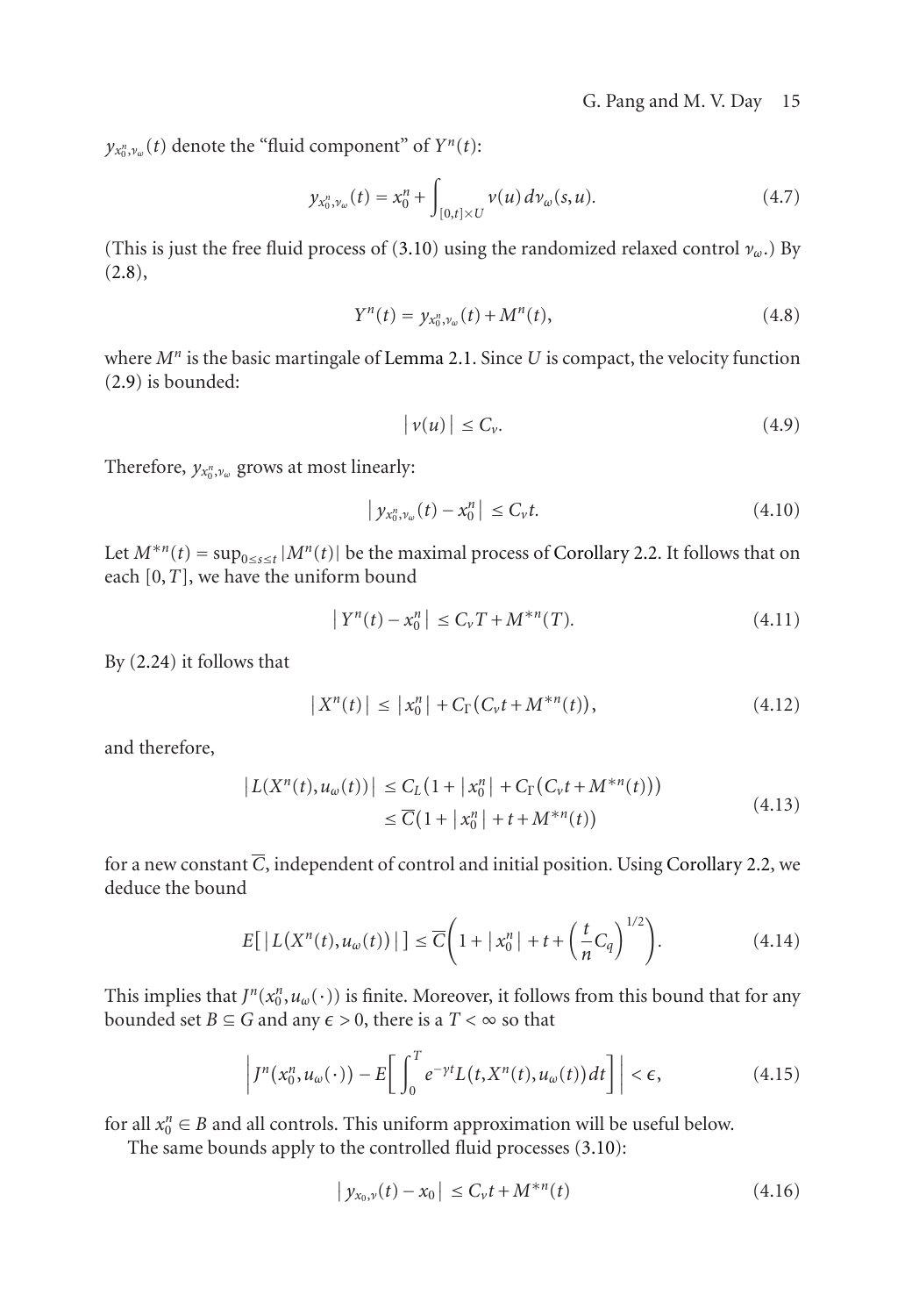$y_{x_0^n, y_\omega}(t)$  denote the "fluid compon[ent" of](#page-5-0)  $Y^n(t)$ :

$$
y_{x_0^n, v_\omega}(t) = x_0^n + \int_{[0,t] \times U} v(u) \, dv_\omega(s, u). \tag{4.7}
$$

(This is just the free fluid process of (3.10) using the randomized relaxed control *νω*.) By (2.8),

$$
Y^{n}(t) = y_{x_{0}^{n}, \nu_{\omega}}(t) + M^{n}(t), \qquad (4.8)
$$

where *Mn* is the basic martingale of Lemma 2.1. Since *U* [is](#page-6-0) [compact,](#page-6-0) [the](#page-6-0) velocity function (2.9) is bounded:

$$
|\nu(u)| \leq C_{\nu}.\tag{4.9}
$$

Therefore,  $y_{x_0^n, v_\omega}$  grows at most linearly:

$$
|y_{x_0^n, v_\omega}(t) - x_0^n| \le C_v t. \tag{4.10}
$$

Let  $M^{*n}(t) = \sup_{0 \le s \le t} |M^n(t)|$  be the maximal process of Corollary 2.2. It follows that on each [0,*T*], we have the uniform bound

$$
|Y^n(t) - x_0^n| \le C_v T + M^{*n}(T). \tag{4.11}
$$

By (2.24) it follows that

$$
|X^{n}(t)| \leq |x_{0}^{n}| + C_{\Gamma}(C_{\nu}t + M^{*n}(t)), \qquad (4.12)
$$

and therefore,

$$
|L(X^n(t), u_\omega(t))| \le C_L (1 + |x_0^n| + C_\Gamma (C_v t + M^{*n}(t)))
$$
  
\n
$$
\le \overline{C} (1 + |x_0^n| + t + M^{*n}(t))
$$
\n(4.13)

for a new constant  $\overline{C}$ , independent of control and initial position. Using Corollary 2.2, we deduce the bound

$$
E\left[\left|L(X^n(t), u_\omega(t))\right|\right] \le \overline{C}\left(1 + \left|x_0^n\right| + t + \left(\frac{t}{n}C_q\right)^{1/2}\right). \tag{4.14}
$$

This implies that  $J^n(x_0^n, u_\omega(\cdot))$  is finite. Moreover, it follows from this bound that for any bounded set *B*  $\subseteq$  *G* and any  $\epsilon$  > 0, there is a *T* <  $\infty$  so that

$$
\left|J^{n}(x_{0}^{n},u_{\omega}(\cdot))-E\bigg[\int_{0}^{T}e^{-\gamma t}L(t,X^{n}(t),u_{\omega}(t))dt\bigg]\right|<\epsilon,
$$
\n(4.15)

for all  $x_0^n \in B$  and all controls. This uniform approximation will be useful below.

The same bounds apply to the controlled fluid processes (3.10):

$$
|y_{x_0,\nu}(t) - x_0| \le C_{\nu}t + M^{*n}(t)
$$
\n(4.16)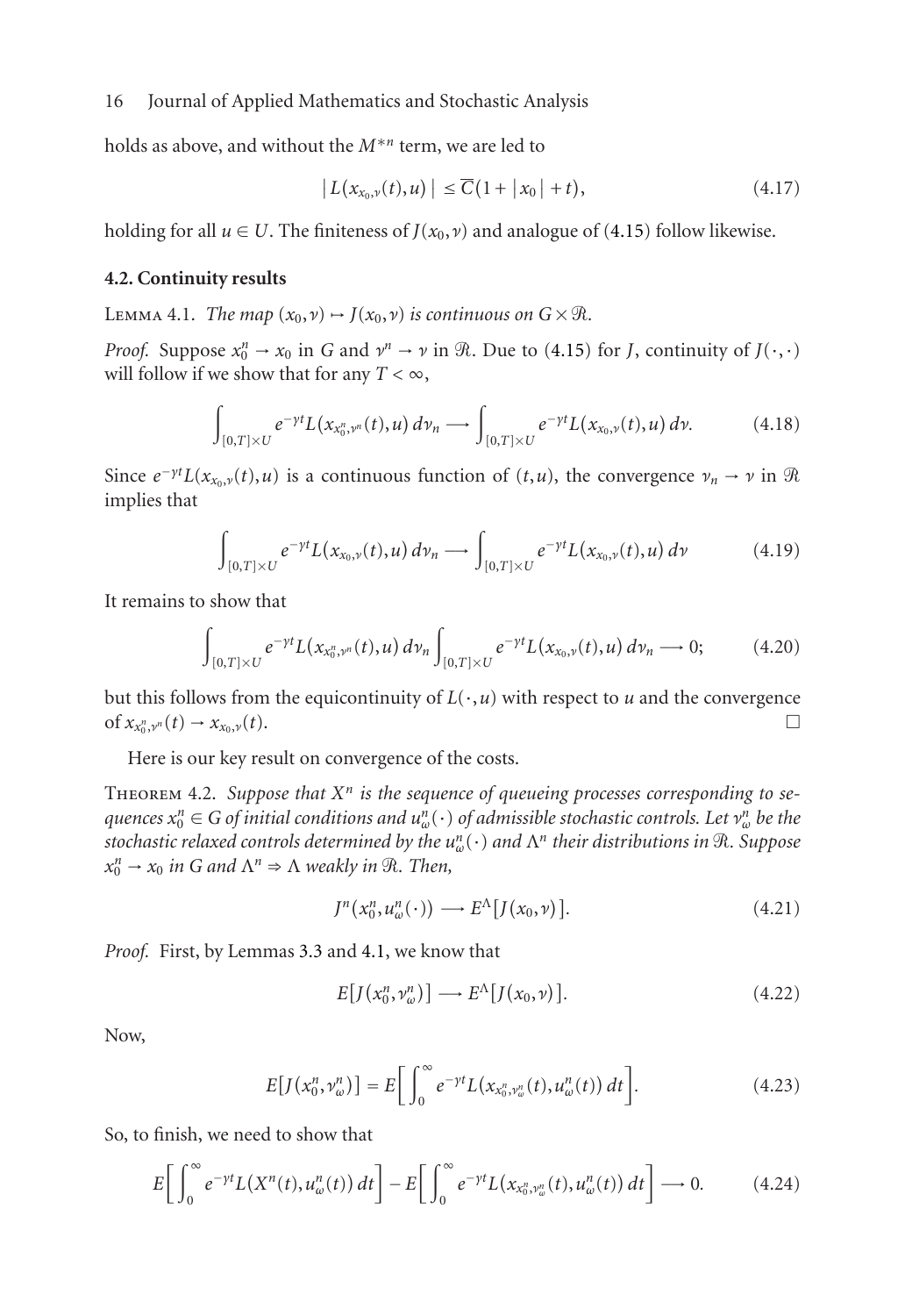holds as above, and without the *M*∗*<sup>n</sup>* term, we are led to

$$
\left| L(x_{x_0,\nu}(t),u) \right| \leq \overline{C}(1+|x_0|+t), \tag{4.17}
$$

holding for all  $u \in U$ . The finiteness of  $J(x_0, v)$  and analogue of (4.15) follow likewise.

#### **4.2. Continuity results**

LEMMA 4.1. *The map*  $(x_0, v) \mapsto J(x_0, v)$  *is continuous on*  $G \times \mathcal{R}$ *.* 

*Proof.* Suppose  $x_0^n \to x_0$  in *G* and  $v^n \to v$  in  $\Re$ . Due to (4.15) for *J*, continuity of  $J(\cdot, \cdot)$ will follow if we show that for any  $T < \infty$ ,

$$
\int_{[0,T]\times U} e^{-\gamma t} L(x_{x_0^n,\nu^n}(t),u) \,d\nu_n \longrightarrow \int_{[0,T]\times U} e^{-\gamma t} L(x_{x_0,\nu}(t),u) \,d\nu. \tag{4.18}
$$

Since  $e^{-\gamma t}L(x_{x_0,\nu}(t),u)$  is a continuous function of  $(t,u)$ , the convergence  $\nu_n \to \nu$  in  $\Re$ implies that

$$
\int_{[0,T]\times U} e^{-\gamma t} L(x_{x_0,\nu}(t),u) \, d\nu_n \longrightarrow \int_{[0,T]\times U} e^{-\gamma t} L(x_{x_0,\nu}(t),u) \, d\nu \tag{4.19}
$$

<span id="page-15-0"></span>It remains to show that

$$
\int_{[0,T]\times U} e^{-\gamma t} L(x_{x_0,\nu^n}(t),u) d\nu_n \int_{[0,T]\times U} e^{-\gamma t} L(x_{x_0,\nu}(t),u) d\nu_n \longrightarrow 0; \qquad (4.20)
$$

but this follows from the equicontinuity of  $L(\cdot, u)$  with respect to *u* and the convergence of  $x_{x_0}^{n}, v_n(t)$  →  $x_{x_0,v}(t)$ .  $\Box$  $\Box$ 

Here is our key result on convergence of the costs.

THEOREM 4.2. Suppose that X<sup>n</sup> is the sequence of queueing processes corresponding to se $q$ uences  $x_0^n \in G$  *of initial conditions and*  $u_{\omega}^n(\cdot)$  *of admissible stochastic controls. Let*  $v_{\omega}^n$  *be the stochastic relaxed controls determined by the un <sup>ω</sup>*(·) *and* Λ*<sup>n</sup> their distributions in* -*. Suppose*  $x_0^n \rightarrow x_0$  *in G and*  $\Lambda^n \Rightarrow \Lambda$  *weakly in*  $\Re$ *. Then,* 

$$
J^{n}(x_{0}^{n},u_{\omega}^{n}(\cdot))\longrightarrow E^{\Lambda}[J(x_{0},\nu)]. \qquad (4.21)
$$

*Proof.* First, by Lemmas 3.3 and 4.1, we know that

$$
E[J(x_0^n, v_\omega^n)] \longrightarrow E^{\Lambda}[J(x_0, \nu)]. \tag{4.22}
$$

Now,

$$
E[J(x_0^n, v_\omega^n)] = E\bigg[\int_0^\infty e^{-\gamma t} L(x_{x_0^n, v_\omega^n}(t), u_\omega^n(t)) dt\bigg].
$$
 (4.23)

So, to finish, we need to show that

$$
E\bigg[\int_0^\infty e^{-\gamma t} L\big(X^n(t), u^n_\omega(t)\big) dt\bigg] - E\bigg[\int_0^\infty e^{-\gamma t} L\big(x_{x_0^n, y_\omega^n}(t), u^n_\omega(t)\big) dt\bigg] \longrightarrow 0. \tag{4.24}
$$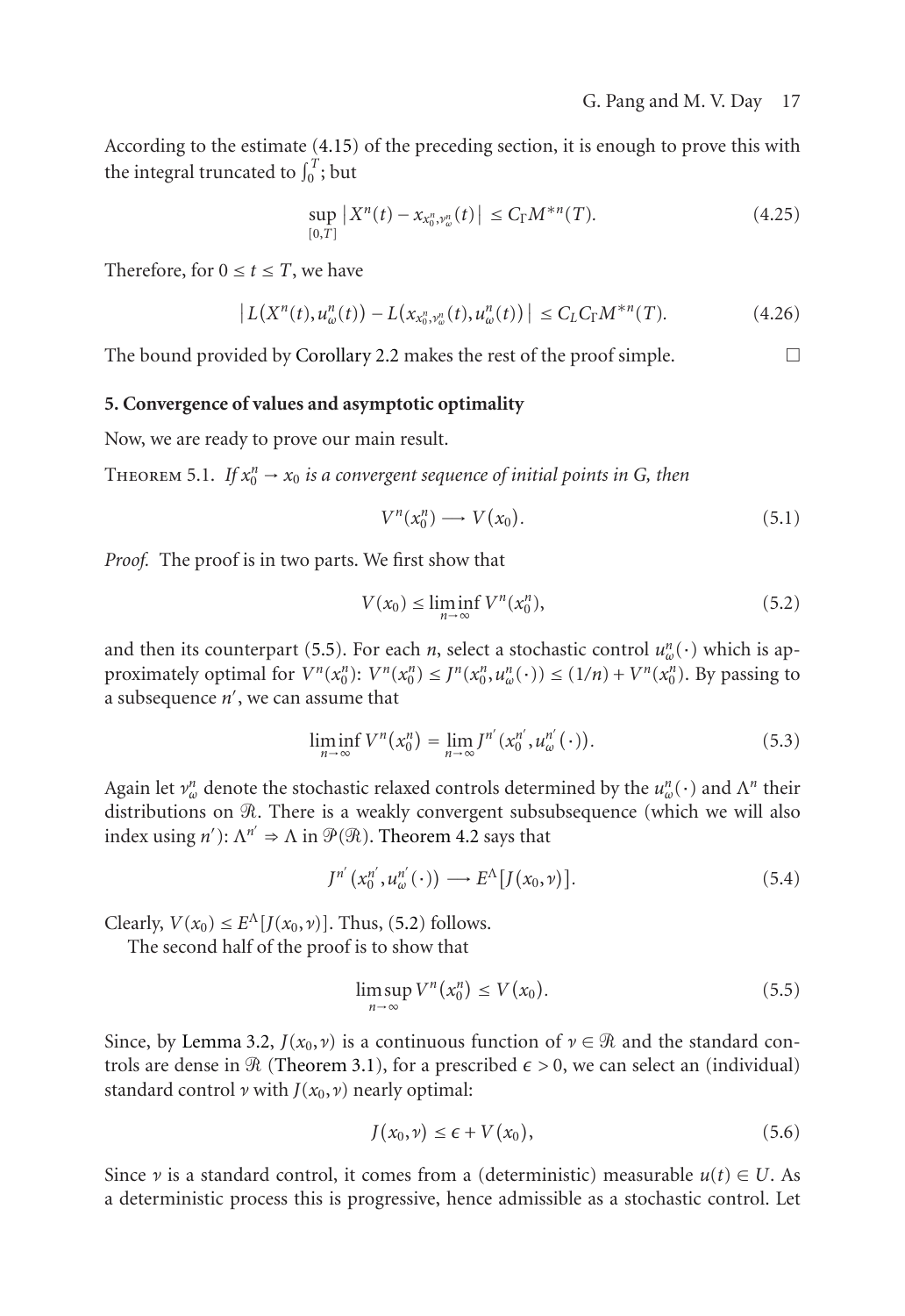<span id="page-16-0"></span>According to the estima[te \(4.15\) of th](#page-6-0)e preceding section, it is enough to prove this with the integral truncated to  $\int_0^T$ ; but

$$
\sup_{[0,T]} |X^n(t) - x_{x_0^n, y_\omega^n}(t)| \le C_\Gamma M^{*n}(T). \tag{4.25}
$$

<span id="page-16-1"></span>Therefore, for  $0 \le t \le T$ , we have

$$
\left| L(X^{n}(t), u_{\omega}^{n}(t)) - L(x_{x_{0}^{n}, v_{\omega}^{n}}(t), u_{\omega}^{n}(t)) \right| \leq C_{L} C_{\Gamma} M^{*n}(T). \tag{4.26}
$$

The bound provided by Corollary 2.2 makes the rest of the proof simple.  $\Box$ 

## **5. Convergence of values and asymptotic optimality**

Now, we are ready to prov[e](#page-16-2) [ou](#page-16-2)r main result.

THEOREM 5.1. If  $x_0^n \to x_0$  is a convergent sequence of initial points in G, then

<span id="page-16-3"></span>
$$
V^n(x_0^n) \longrightarrow V(x_0). \tag{5.1}
$$

*Proof.* The proof is in two parts. We first show that

<span id="page-16-2"></span>
$$
V(x_0) \le \liminf_{n \to \infty} V^n(x_0^n),\tag{5.2}
$$

and then its counterpart (5.5). For each *n*, select a stochastic control  $u_w^n(\cdot)$  which is approximately optimal for  $V^n(x_0^n): V^n(x_0^n) \leq J^n(x_0^n, u_\omega^n(\cdot)) \leq (1/n) + V^n(x_0^n)$ . By passing to a subsequence *n* , we can assume th[at](#page-16-3)

$$
\liminf_{n \to \infty} V^n(x_0^n) = \lim_{n \to \infty} J^{n'}(x_0^{n'}, u_{\omega}^{n'}(\cdot)).
$$
\n(5.3)

Again let  $\nu_{\omega}^n$  denote the stochastic relaxed controls determined by the  $u_{\omega}^n(\cdot)$  and  $\Lambda^n$  their distributi[ons](#page-11-1) [on](#page-11-1) R. There is a weakly convergent subsubsequence (which we will also [in](#page-11-3)dex using  $n'$ ):  $\Lambda^{n'} \Rightarrow \Lambda$  in  $\mathcal{P}(\mathcal{R})$ . Theorem 4.2 says that

$$
J^{n'}(x_0^{n'}, u_\omega^{n'}(\cdot)) \longrightarrow E^{\Lambda}[J(x_0, \nu)]. \tag{5.4}
$$

Clearly,  $V(x_0) \leq E^{\Lambda}[J(x_0,\nu)]$ . Thus, (5.2) follows.

The second half of the proof is to show that

$$
\limsup_{n \to \infty} V^n(x_0^n) \le V(x_0). \tag{5.5}
$$

Since, by Lemma 3.2,  $J(x_0, \nu)$  is a continuous function of  $\nu \in \mathcal{R}$  and the standard controls are dense in  $\Re$  (Theorem 3.1), for a prescribed  $\epsilon > 0$ , we can select an (individual) standard control  $\nu$  with  $J(x_0, \nu)$  nearly optimal:

$$
J(x_0, \nu) \le \epsilon + V(x_0), \tag{5.6}
$$

Since *ν* is a standard control, it comes from a (deterministic) measurable  $u(t) \in U$ . As a deterministic process this is progressive, hence admissible as a stochastic control. Let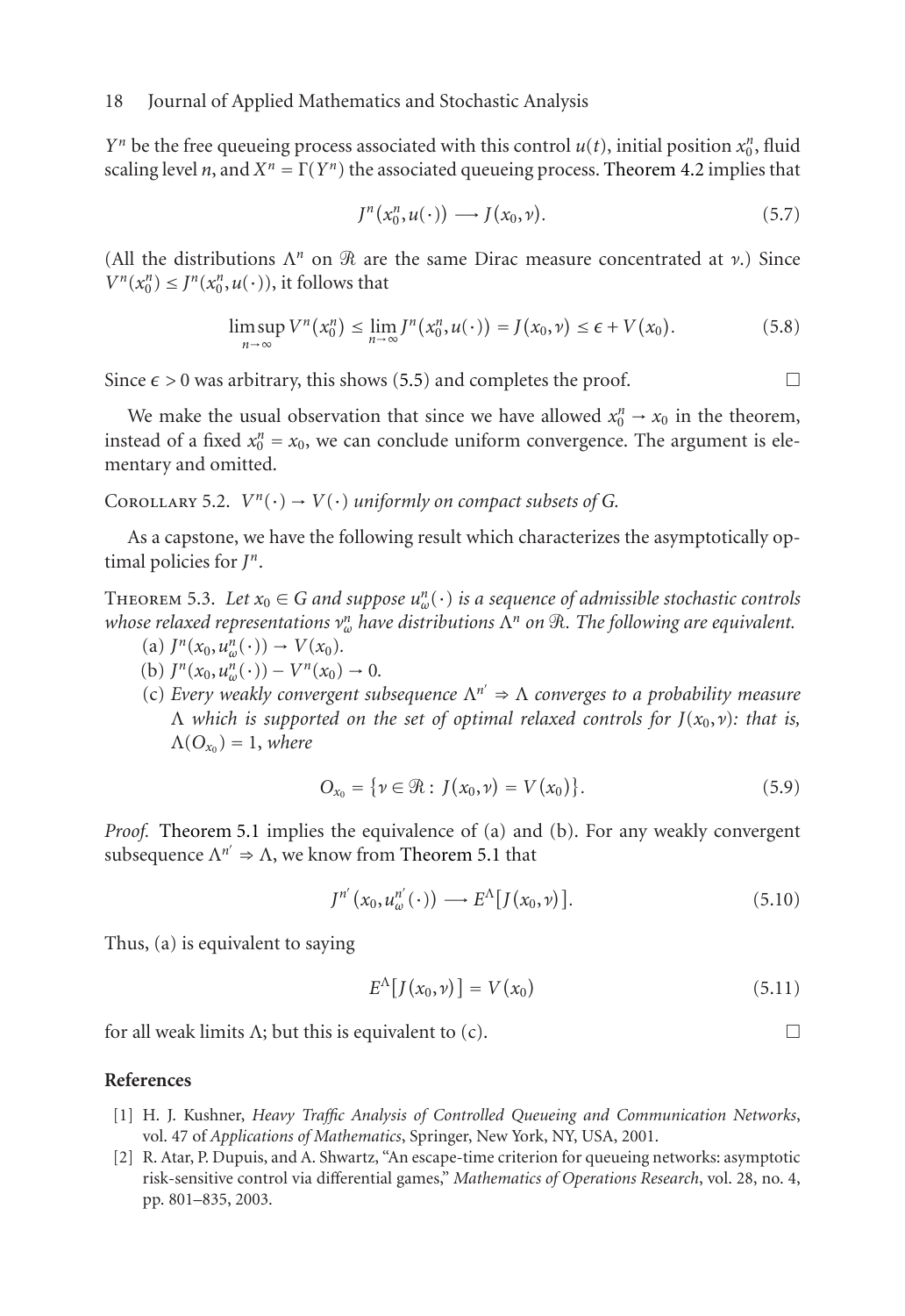*Yn* be the free queueing process associated with this control  $u(t)$ , initial position  $x_0^n$ , fluid scaling level *n*, and  $X^n = \Gamma(Y^n)$  the as[socia](#page-16-2)ted queueing process. Theorem 4.2 implies that

$$
J^n(x_0^n, u(\cdot)) \longrightarrow J(x_0, \nu).
$$
 (5.7)

(All the distributions  $\Lambda^n$  on  $\Re$  are the same Dirac measure concentrated at  $\nu$ .) Since  $V^n(x_0^n) \leq J^n(x_0^n, u(\cdot))$ , it follows that

$$
\limsup_{n\to\infty} V^n\big(x_0^n\big) \le \lim_{n\to\infty} J^n\big(x_0^n, u(\cdot)\big) = J\big(x_0, v\big) \le \epsilon + V\big(x_0\big). \tag{5.8}
$$

Since  $\epsilon > 0$  was arbitrary, this shows (5.5) and completes the proof.  $\Box$ 

We make the usual observation that since we have allowed  $x_0^n \to x_0$  in the theorem, instead of a fixed  $x_0^n = x_0$ , we can conclude uniform convergence. The argument is elementary and omitted.

# COROLLARY 5.2.  $V^n(\cdot) \rightarrow V(\cdot)$  *uniformly on compact subsets of G.*

As a capstone, we have the following result which characterizes the asymptotically optimal policies for *Jn*.

THEOREM 5.3. Let  $x_0 \in G$  and suppose  $u_{\omega}^n(\cdot)$  is a sequence of admissible stochastic controls *whose [relaxed](#page-16-1) [represe](#page-16-1)ntations ν<sup>n</sup> <sup>ω</sup> have [distributions](#page-16-1)* Λ*<sup>n</sup> on* -*. The following are equivalent.*

- (a)  $J^n(x_0, u^n_{\omega}(\cdot)) \to V(x_0)$ .
- (b)  $J^n(x_0, u^n_{\omega}(\cdot)) V^n(x_0) \to 0.$
- (c) *Every weakly convergent subsequence* Λ*n* ⇒ Λ *converges to a probability measure* Λ *which is supported on the set of optimal relaxed controls for J*(*x*0,*ν*)*: that is,*  $\Lambda(O_{x_0}) = 1$ , *where*

$$
O_{x_0} = \{ \nu \in \mathcal{R} : J(x_0, \nu) = V(x_0) \}.
$$
 (5.9)

*Proof.* Theorem 5.1 implies the equivalence of (a) and (b). For any weakly convergent subsequence  $\Lambda^{n'} \Rightarrow \Lambda$ , we know from Theorem 5.1 that

$$
J^{n'}(x_0, u_{\omega}^{n'}(\cdot)) \longrightarrow E^{\Lambda}[J(x_0, \nu)]. \tag{5.10}
$$

<span id="page-17-1"></span><span id="page-17-0"></span>Thus, (a) is equivalent to saying

$$
E^{\Lambda}[J(x_0,\nu)] = V(x_0) \tag{5.11}
$$

 $\Box$ 

for all weak limits  $\Lambda$ ; but this is equivalent to (c).

#### **References**

- [1] H. J. Kushner, *Heavy Traffic Analysis of Controlled Queueing and Communication Networks*, vol. 47 of *Applications of Mathematics*, Springer, New York, NY, USA, 2001.
- [2] R. Atar, P. Dupuis, and A. Shwartz, "An escape-time criterion for queueing networks: asymptotic risk-sensitive control via differential games," *Mathematics of Operations Research*, vol. 28, no. 4, pp. 801–835, 2003.